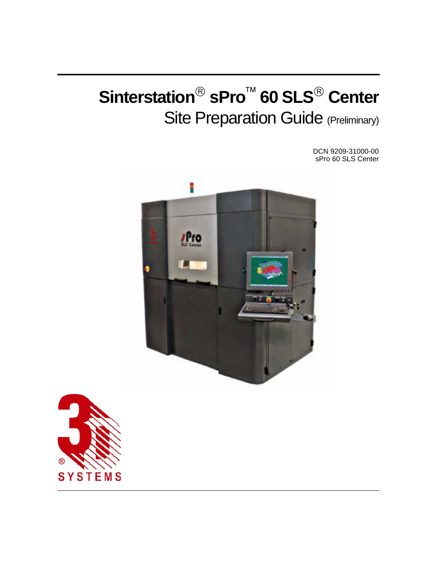## **Sinterstation**® **sPro**™ **60 SLS**® **Center** Site Preparation Guide (Preliminary)

DCN 9209-31000-00 sPro 60 SLS Center



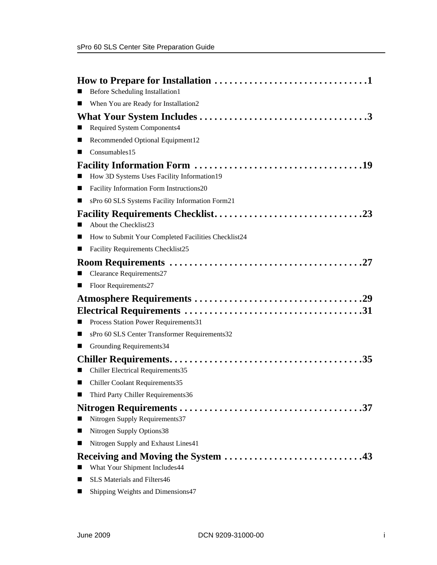|   | <b>Before Scheduling Installation1</b>                              |
|---|---------------------------------------------------------------------|
| ■ | When You are Ready for Installation2                                |
|   |                                                                     |
|   | Required System Components4                                         |
|   | Recommended Optional Equipment12                                    |
|   | Consumables15                                                       |
|   |                                                                     |
|   | How 3D Systems Uses Facility Information19                          |
|   | Facility Information Form Instructions20                            |
|   | sPro 60 SLS Systems Facility Information Form21                     |
|   | Facility Requirements Checklist23                                   |
|   | About the Checklist23                                               |
| ■ | How to Submit Your Completed Facilities Checklist24                 |
| ■ | Facility Requirements Checklist25                                   |
|   |                                                                     |
|   | Clearance Requirements27                                            |
| ■ | Floor Requirements27                                                |
|   |                                                                     |
|   |                                                                     |
|   | Process Station Power Requirements31                                |
|   | sPro 60 SLS Center Transformer Requirements32                       |
| ■ | Grounding Requirements34                                            |
|   |                                                                     |
|   | <b>Chiller Electrical Requirements35</b>                            |
| п | Chiller Coolant Requirements35                                      |
| ■ | Third Party Chiller Requirements36                                  |
|   |                                                                     |
|   | Nitrogen Supply Requirements37                                      |
| ■ | Nitrogen Supply Options38                                           |
|   | Nitrogen Supply and Exhaust Lines41                                 |
|   | Receiving and Moving the System 43<br>What Your Shipment Includes44 |
|   | <b>SLS</b> Materials and Filters46                                  |
| ■ | Shipping Weights and Dimensions47                                   |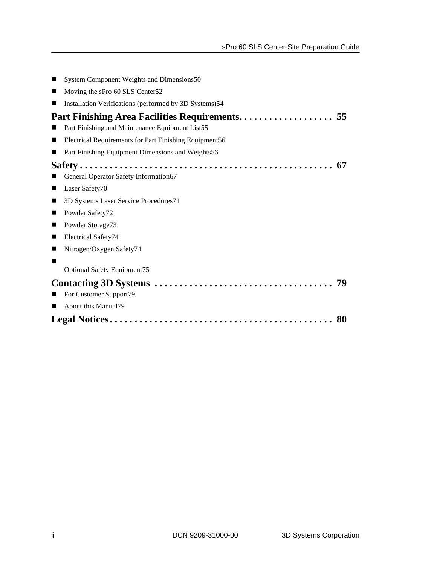| 80                                                          |
|-------------------------------------------------------------|
| About this Manual79                                         |
| For Customer Support79                                      |
| 79                                                          |
| <b>Optional Safety Equipment75</b>                          |
| Nitrogen/Oxygen Safety74                                    |
| <b>Electrical Safety74</b>                                  |
| Powder Storage73                                            |
| Powder Safety72                                             |
| 3D Systems Laser Service Procedures71                       |
| Laser Safety70<br>■                                         |
| General Operator Safety Information67                       |
| 67                                                          |
| Part Finishing Equipment Dimensions and Weights56           |
| Electrical Requirements for Part Finishing Equipment56<br>■ |
| Part Finishing and Maintenance Equipment List55             |
| Part Finishing Area Facilities Requirements 55              |
| Installation Verifications (performed by 3D Systems)54      |
| Moving the sPro 60 SLS Center52                             |
| System Component Weights and Dimensions50                   |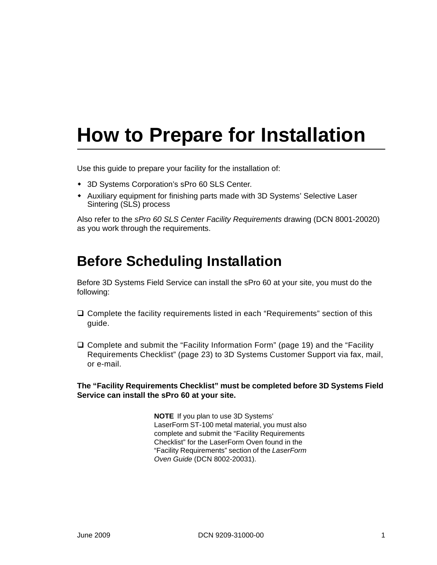## <span id="page-4-0"></span>**How to Prepare for Installation**

Use this guide to prepare your facility for the installation of:

- 3D Systems Corporation's sPro 60 SLS Center.
- Auxiliary equipment for finishing parts made with 3D Systems' Selective Laser Sintering (SLS) process

Also refer to the *sPro 60 SLS Center Facility Requirements* drawing (DCN 8001-20020) as you work through the requirements.

### <span id="page-4-1"></span>**Before Scheduling Installation**

Before 3D Systems Field Service can install the sPro 60 at your site, you must do the following:

- □ Complete the facility requirements listed in each "Requirements" section of this guide.
- $\Box$  Complete and submit the "[Facility Information Form](#page-22-2)" ([page 19](#page-22-2)) and the "Facility [Requirements Checklist"](#page-26-2) ([page 23\)](#page-26-2) to 3D Systems Customer Support via fax, mail, or e-mail.

**The "[Facility Requirements Checklist"](#page-26-2) must be completed before 3D Systems Field Service can install the sPro 60 at your site.**

> **NOTE** If you plan to use 3D Systems' LaserForm ST-100 metal material, you must also complete and submit the "Facility Requirements Checklist" for the LaserForm Oven found in the "Facility Requirements" section of the *LaserForm Oven Guide* (DCN 8002-20031).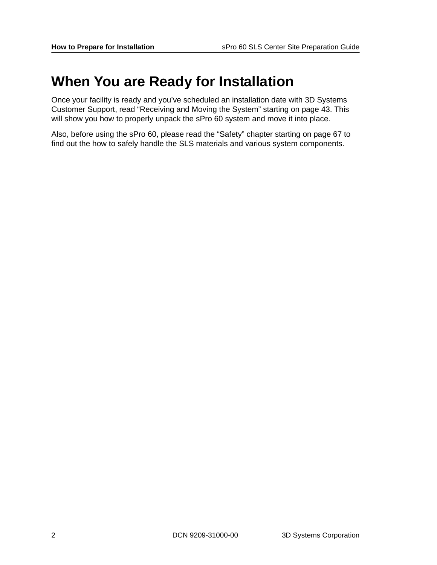### <span id="page-5-0"></span>**When You are Ready for Installation**

Once your facility is ready and you've scheduled an installation date with 3D Systems Customer Support, read "[Receiving and Moving the System](#page-46-1)" starting on [page 43](#page-46-1). This will show you how to properly unpack the sPro 60 system and move it into place.

Also, before using the sPro 60, please read the "[Safety"](#page-70-2) chapter starting on [page 67](#page-70-2) to find out the how to safely handle the SLS materials and various system components.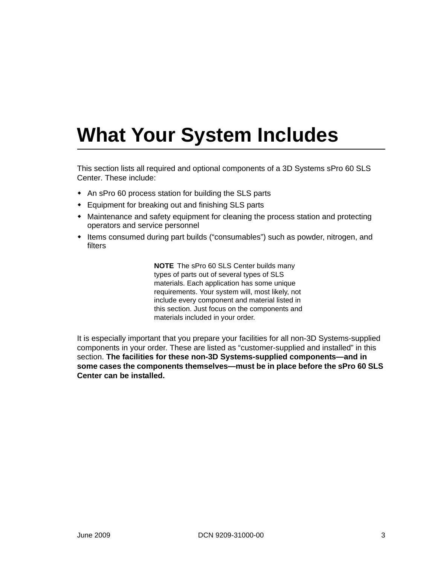# <span id="page-6-0"></span>**What Your System Includes**

This section lists all required and optional components of a 3D Systems sPro 60 SLS Center. These include:

- An sPro 60 process station for building the SLS parts
- Equipment for breaking out and finishing SLS parts
- Maintenance and safety equipment for cleaning the process station and protecting operators and service personnel
- Items consumed during part builds ("consumables") such as powder, nitrogen, and filters

**NOTE** The sPro 60 SLS Center builds many types of parts out of several types of SLS materials. Each application has some unique requirements. Your system will, most likely, not include every component and material listed in this section. Just focus on the components and materials included in your order.

It is especially important that you prepare your facilities for all non-3D Systems-supplied components in your order. These are listed as "customer-supplied and installed" in this section. **The facilities for these non-3D Systems-supplied components—and in some cases the components themselves—must be in place before the sPro 60 SLS Center can be installed.**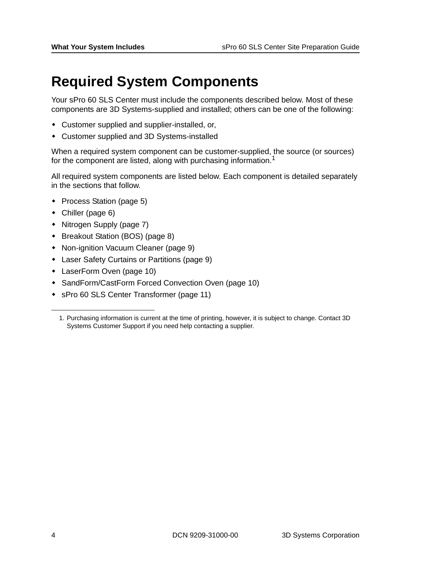## <span id="page-7-0"></span>**Required System Components**

Your sPro 60 SLS Center must include the components described below. Most of these components are 3D Systems-supplied and installed; others can be one of the following:

- Customer supplied and supplier-installed, or,
- Customer supplied and 3D Systems-installed

When a required system component can be customer-supplied, the source (or sources) for the component are listed, along with purchasing information.<sup>1</sup>

All required system components are listed below. Each component is detailed separately in the sections that follow.

- [Process Station \(page 5\)](#page-8-0)
- [Chiller \(page 6\)](#page-9-0)
- [Nitrogen Supply \(page 7\)](#page-10-0)
- [Breakout Station \(BOS\) \(page 8\)](#page-11-0)
- [Non-ignition Vacuum Cleaner \(page 9\)](#page-12-0)
- [Laser Safety Curtains or Partitions \(page 9\)](#page-12-1)
- [LaserForm Oven \(page 10\)](#page-13-0)
- [SandForm/CastForm Forced Convection Oven \(page 10\)](#page-13-1)
- [sPro 60 SLS Center Transformer \(page 11\)](#page-14-0)

<sup>1.</sup> Purchasing information is current at the time of printing, however, it is subject to change. Contact 3D Systems Customer Support if you need help contacting a supplier.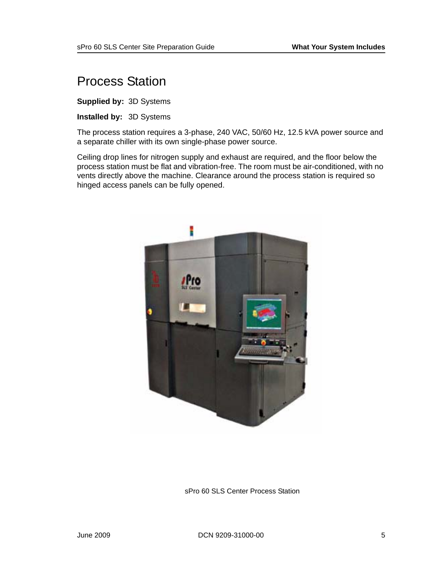#### <span id="page-8-0"></span>Process Station

**Supplied by:** 3D Systems

**Installed by:** 3D Systems

The process station requires a 3-phase, 240 VAC, 50/60 Hz, 12.5 kVA power source and a separate chiller with its own single-phase power source.

Ceiling drop lines for nitrogen supply and exhaust are required, and the floor below the process station must be flat and vibration-free. The room must be air-conditioned, with no vents directly above the machine. Clearance around the process station is required so hinged access panels can be fully opened.



sPro 60 SLS Center Process Station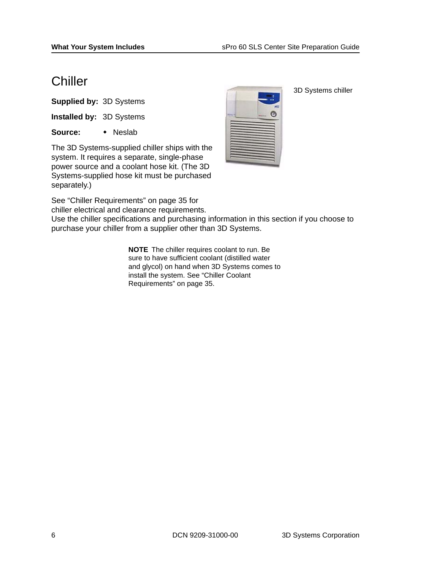#### <span id="page-9-0"></span>**Chiller**

**Supplied by:** 3D Systems

**Installed by:** 3D Systems

Source:  $\rightarrow$  Neslab

The 3D Systems-supplied chiller ships with the system. It requires a separate, single-phase power source and a coolant hose kit. (The 3D Systems-supplied hose kit must be purchased separately.)

See ["Chiller Requirements" on page 35](#page-38-3) for chiller electrical and clearance requirements.

Use the chiller specifications and purchasing information in this section if you choose to purchase your chiller from a supplier other than 3D Systems.

> **NOTE** The chiller requires coolant to run. Be sure to have sufficient coolant (distilled water and glycol) on hand when 3D Systems comes to install the system. See ["Chiller Coolant](#page-38-4)  [Requirements" on page 35.](#page-38-4)



3D Systems chiller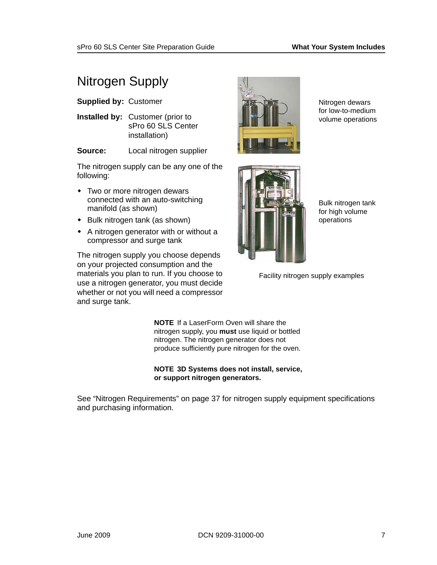#### <span id="page-10-0"></span>Nitrogen Supply

|  |  |  | <b>Supplied by: Customer</b> |
|--|--|--|------------------------------|
|--|--|--|------------------------------|

**Installed by:** Customer (prior to sPro 60 SLS Center installation)

**Source:** Local nitrogen supplier

The nitrogen supply can be any one of the following:

- Two or more nitrogen dewars connected with an auto-switching manifold (as shown)
- Bulk nitrogen tank (as shown)
- A nitrogen generator with or without a compressor and surge tank

The nitrogen supply you choose depends on your projected consumption and the materials you plan to run. If you choose to use a nitrogen generator, you must decide whether or not you will need a compressor and surge tank.



Nitrogen dewars for low-to-medium volume operations



Bulk nitrogen tank for high volume operations

Facility nitrogen supply examples

**NOTE** If a LaserForm Oven will share the nitrogen supply, you **must** use liquid or bottled nitrogen. The nitrogen generator does not produce sufficiently pure nitrogen for the oven.

**NOTE 3D Systems does not install, service, or support nitrogen generators.**

See ["Nitrogen Requirements" on page 37](#page-40-2) for nitrogen supply equipment specifications and purchasing information.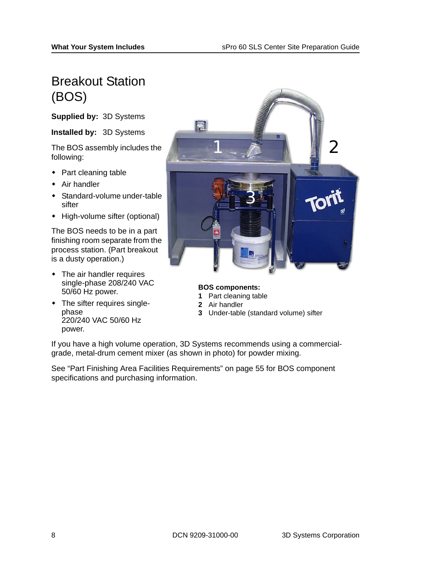#### <span id="page-11-0"></span>Breakout Station (BOS)

**Supplied by:** 3D Systems

**Installed by:** 3D Systems

The BOS assembly includes the following:

- Part cleaning table
- Air handler
- Standard-volume under-table sifter
- High-volume sifter (optional)

The BOS needs to be in a part finishing room separate from the process station. (Part breakout is a dusty operation.)

- The air handler requires single-phase 208/240 VAC 50/60 Hz power.
- The sifter requires singlephase 220/240 VAC 50/60 Hz power.



#### **BOS components:**

- **1** Part cleaning table
- **2** Air handler
- **3** Under-table (standard volume) sifter

If you have a high volume operation, 3D Systems recommends using a commercialgrade, metal-drum cement mixer (as shown in photo) for powder mixing.

See ["Part Finishing Area Facilities Requirements" on page 55](#page-58-2) for BOS component specifications and purchasing information.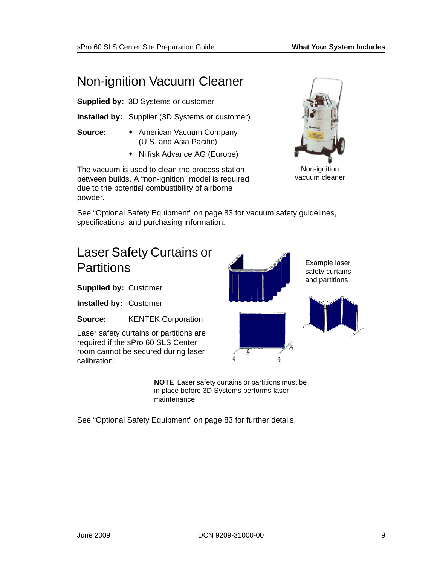#### <span id="page-12-0"></span>Non-ignition Vacuum Cleaner

**Supplied by:** 3D Systems or customer

**Installed by:** Supplier (3D Systems or customer)

- **Source:**  $\rightarrow$  American Vacuum Company (U.S. and Asia Pacific)
	- Nilfisk Advance AG (Europe)

The vacuum is used to clean the process station between builds. A "non-ignition" model is required due to the potential combustibility of airborne powder.



See "Optional Safety Equipment" on page 83 for vacuum safety guidelines, specifications, and purchasing information.

<span id="page-12-1"></span>

**NOTE** Laser safety curtains or partitions must be in place before 3D Systems performs laser maintenance.

See "Optional Safety Equipment" on page 83 for further details.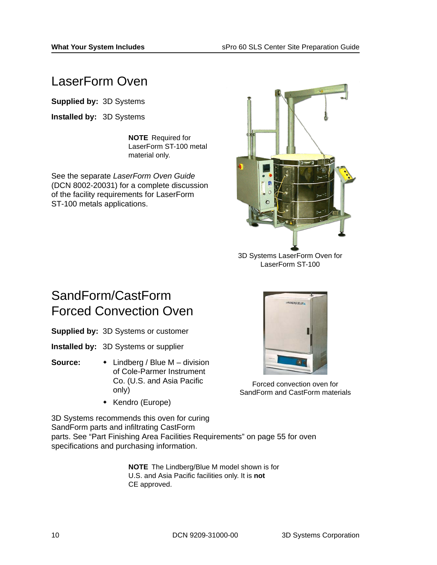#### <span id="page-13-0"></span>LaserForm Oven

**Supplied by:** 3D Systems

**Installed by:** 3D Systems

**NOTE** Required for LaserForm ST-100 metal material only.

See the separate *LaserForm Oven Guide* (DCN 8002-20031) for a complete discussion of the facility requirements for LaserForm ST-100 metals applications.



3D Systems LaserForm Oven for LaserForm ST-100

#### <span id="page-13-1"></span>SandForm/CastForm Forced Convection Oven

- **Supplied by:** 3D Systems or customer
- **Installed by:** 3D Systems or supplier
- **Source:**  $\rightarrow$  Lindberg / Blue M division of Cole-Parmer Instrument Co. (U.S. and Asia Pacific only)
	- ◆ Kendro (Europe)



Forced convection oven for SandForm and CastForm materials

3D Systems recommends this oven for curing SandForm parts and infiltrating CastForm parts. See ["Part Finishing Area Facilities Requirements" on page 55](#page-58-2) for oven specifications and purchasing information.

> **NOTE** The Lindberg/Blue M model shown is for U.S. and Asia Pacific facilities only. It is **not** CE approved.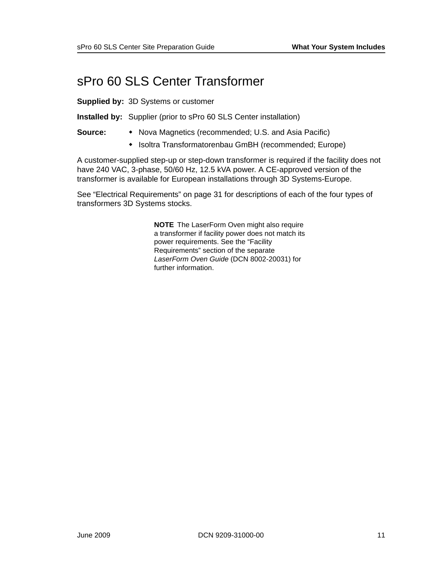#### <span id="page-14-0"></span>sPro 60 SLS Center Transformer

**Supplied by:** 3D Systems or customer

**Installed by:** Supplier (prior to sPro 60 SLS Center installation)

- **Source:**  $\longrightarrow$  Nova Magnetics (recommended; U.S. and Asia Pacific)
	- Isoltra Transformatorenbau GmBH (recommended; Europe)

A customer-supplied step-up or step-down transformer is required if the facility does not have 240 VAC, 3-phase, 50/60 Hz, 12.5 kVA power. A CE-approved version of the transformer is available for European installations through 3D Systems-Europe.

See ["Electrical Requirements" on page 31](#page-34-2) for descriptions of each of the four types of transformers 3D Systems stocks.

> **NOTE** The LaserForm Oven might also require a transformer if facility power does not match its power requirements. See the "Facility Requirements" section of the separate *LaserForm Oven Guide* (DCN 8002-20031) for further information.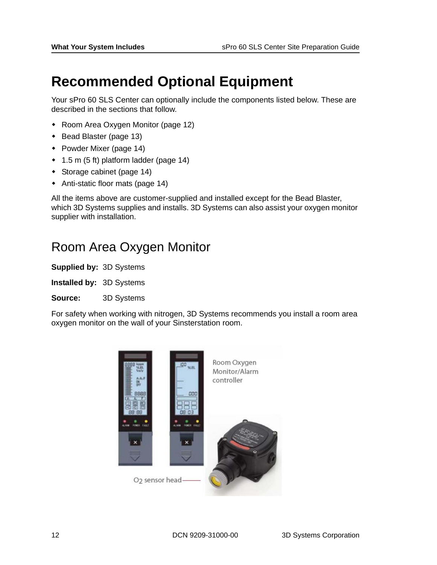## <span id="page-15-0"></span>**Recommended Optional Equipment**

Your sPro 60 SLS Center can optionally include the components listed below. These are described in the sections that follow.

- [Room Area Oxygen Monitor \(page 12\)](#page-15-1)
- ◆ [Bead Blaster \(page 13\)](#page-16-0)
- [Powder Mixer \(page 14\)](#page-17-0)
- [1.5 m \(5 ft\) platform ladder \(page 14\)](#page-17-1)
- [Storage cabinet \(page 14\)](#page-17-1)
- [Anti-static floor mats \(page 14\)](#page-17-1)

All the items above are customer-supplied and installed except for the Bead Blaster, which 3D Systems supplies and installs. 3D Systems can also assist your oxygen monitor supplier with installation.

#### <span id="page-15-1"></span>Room Area Oxygen Monitor

**Supplied by:** 3D Systems

**Installed by:** 3D Systems

**Source:** 3D Systems

For safety when working with nitrogen, 3D Systems recommends you install a room area oxygen monitor on the wall of your Sinsterstation room.

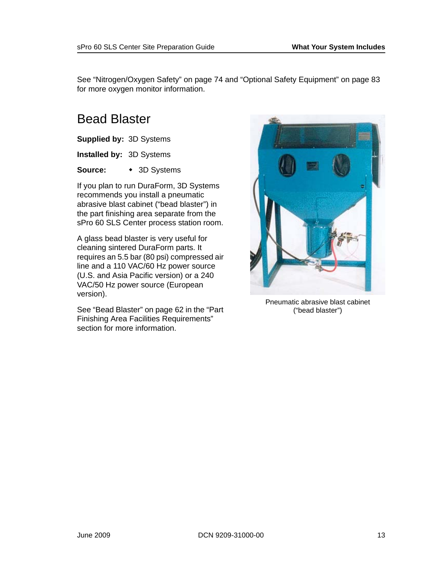See ["Nitrogen/Oxygen Safety" on page 74](#page-77-2) and "Optional Safety Equipment" on page 83 for more oxygen monitor information.

#### <span id="page-16-0"></span>Bead Blaster

**Supplied by:** 3D Systems

**Installed by:** 3D Systems

**Source:**  3D Systems

If you plan to run DuraForm, 3D Systems recommends you install a pneumatic abrasive blast cabinet ("bead blaster") in the part finishing area separate from the sPro 60 SLS Center process station room.

A glass bead blaster is very useful for cleaning sintered DuraForm parts. It requires an 5.5 bar (80 psi) compressed air line and a 110 VAC/60 Hz power source (U.S. and Asia Pacific version) or a 240 VAC/50 Hz power source (European version).

See ["Bead Blaster" on page 62](#page-65-0) in the ["Part](#page-58-2)  [Finishing Area Facilities Requirements](#page-58-2)" section for more information.



Pneumatic abrasive blast cabinet ("bead blaster")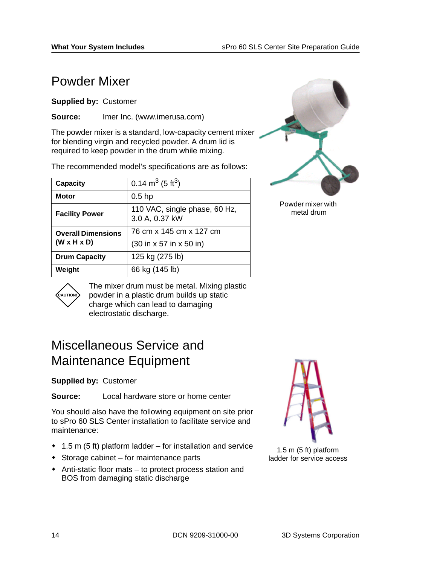#### <span id="page-17-0"></span>Powder Mixer

**Supplied by:** Customer

**Source:** Imer Inc. (www.imerusa.com)

The powder mixer is a standard, low-capacity cement mixer for blending virgin and recycled powder. A drum lid is required to keep powder in the drum while mixing.

The recommended model's specifications are as follows:

| <b>Capacity</b>           | 0.14 m <sup>3</sup> (5 ft <sup>3</sup> )            |
|---------------------------|-----------------------------------------------------|
| <b>Motor</b>              | $0.5$ hp                                            |
| <b>Facility Power</b>     | 110 VAC, single phase, 60 Hz,<br>3.0 A, 0.37 kW     |
| <b>Overall Dimensions</b> | 76 cm x 145 cm x 127 cm                             |
| $(W \times H \times D)$   | $(30 \text{ in } x 57 \text{ in } x 50 \text{ in})$ |
| <b>Drum Capacity</b>      | 125 kg (275 lb)                                     |
| Weight                    | 66 kg (145 lb)                                      |



Powder mixer with metal drum



The mixer drum must be metal. Mixing plastic powder in a plastic drum builds up static charge which can lead to damaging electrostatic discharge.

### <span id="page-17-1"></span>Miscellaneous Service and Maintenance Equipment

**Supplied by:** Customer

**Source:** Local hardware store or home center

You should also have the following equipment on site prior to sPro 60 SLS Center installation to facilitate service and maintenance:

- 1.5 m (5 ft) platform ladder for installation and service
- Storage cabinet for maintenance parts
- Anti-static floor mats to protect process station and BOS from damaging static discharge



1.5 m (5 ft) platform ladder for service access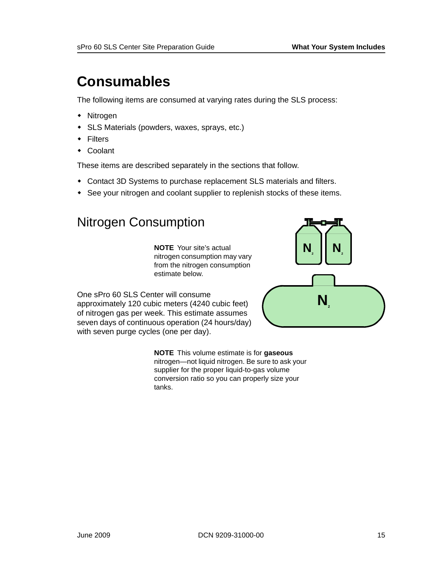## <span id="page-18-0"></span>**Consumables**

The following items are consumed at varying rates during the SLS process:

- [Nitrogen](#page-18-1)
- [SLS Materials \(powders, waxes, sprays, etc.\)](#page-19-0)
- **+** [Filters](#page-20-0)
- [Coolant](#page-21-0)

These items are described separately in the sections that follow.

- Contact 3D Systems to purchase replacement SLS materials and filters.
- See your nitrogen and coolant supplier to replenish stocks of these items.

#### <span id="page-18-1"></span>Nitrogen Consumption

**NOTE** Your site's actual nitrogen consumption may vary from the nitrogen consumption estimate below.

One sPro 60 SLS Center will consume approximately 120 cubic meters (4240 cubic feet) of nitrogen gas per week. This estimate assumes seven days of continuous operation (24 hours/day) with seven purge cycles (one per day).

> **NOTE** This volume estimate is for **gaseous** nitrogen—not liquid nitrogen. Be sure to ask your supplier for the proper liquid-to-gas volume conversion ratio so you can properly size your tanks.

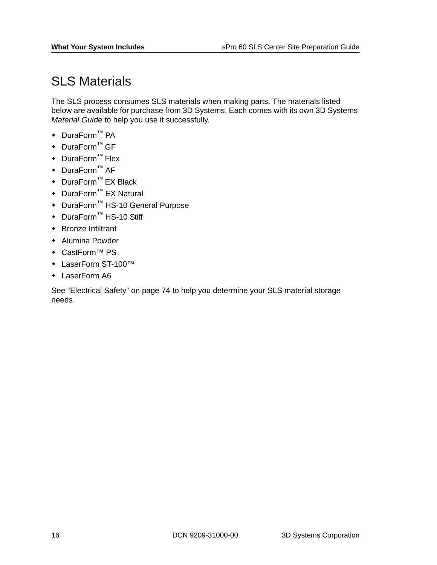#### <span id="page-19-0"></span>SLS Materials

The SLS process consumes SLS materials when making parts. The materials listed below are available for purchase from 3D Systems. Each comes with its own 3D Systems *Material Guide* to help you use it successfully.

- ◆ DuraForm™ PA
- ◆ DuraForm™ GF
- ◆ DuraForm™ Flex
- ◆ DuraForm™ AF
- DuraForm™ EX Black
- ◆ DuraForm™ EX Natural
- DuraForm™ HS-10 General Purpose
- DuraForm™ HS-10 Stiff
- Bronze Infiltrant
- Alumina Powder
- ◆ CastForm™ PS
- ◆ LaserForm ST-100™
- ◆ LaserForm A6

See ["Electrical Safety" on page 74](#page-77-3) to help you determine your SLS material storage needs.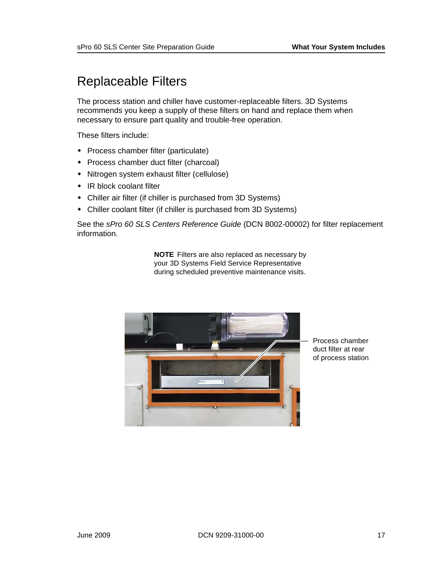#### <span id="page-20-0"></span>Replaceable Filters

The process station and chiller have customer-replaceable filters. 3D Systems recommends you keep a supply of these filters on hand and replace them when necessary to ensure part quality and trouble-free operation.

These filters include:

- Process chamber filter (particulate)
- Process chamber duct filter (charcoal)
- Nitrogen system exhaust filter (cellulose)
- IR block coolant filter
- Chiller air filter (if chiller is purchased from 3D Systems)
- Chiller coolant filter (if chiller is purchased from 3D Systems)

See the *sPro 60 SLS Centers Reference Guide* (DCN 8002-00002) for filter replacement information.

> **NOTE** Filters are also replaced as necessary by your 3D Systems Field Service Representative during scheduled preventive maintenance visits.



Process chamber duct filter at rear of process station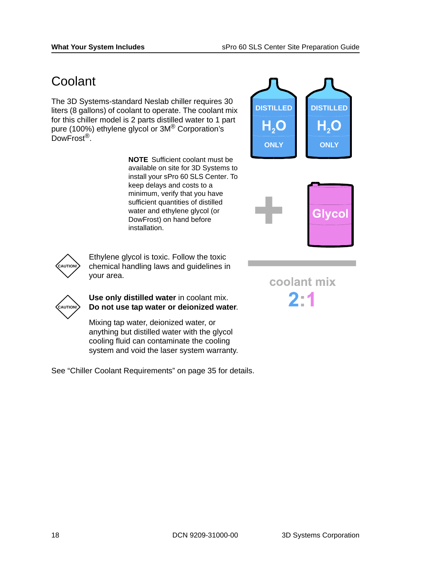#### <span id="page-21-0"></span>Coolant

The 3D Systems-standard Neslab chiller requires 30 liters (8 gallons) of coolant to operate. The coolant mix for this chiller model is 2 parts distilled water to 1 part pure (100%) ethylene glycol or 3M® Corporation's DowFrost<sup>®</sup>

> **NOTE** Sufficient coolant must be available on site for 3D Systems to install your sPro 60 SLS Center. To keep delays and costs to a minimum, verify that you have sufficient quantities of distilled water and ethylene glycol (or DowFrost) on hand before installation.







Ethylene glycol is toxic. Follow the toxic chemical handling laws and guidelines in your area.

coolant mix  $2 - 1$ 



**Use only distilled water** in coolant mix. **Do not use tap water or deionized water**.

Mixing tap water, deionized water, or anything but distilled water with the glycol cooling fluid can contaminate the cooling system and void the laser system warranty.

See ["Chiller Coolant Requirements" on page 35](#page-38-4) for details.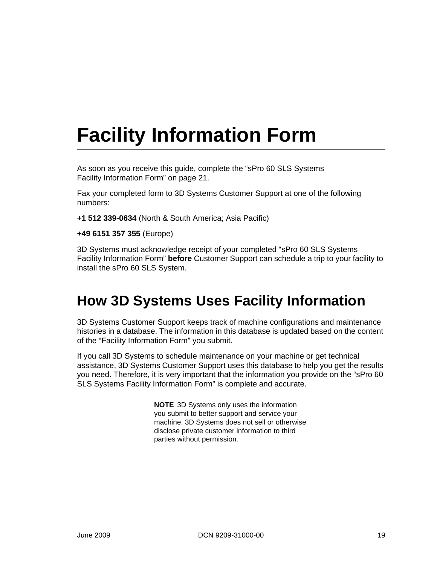# <span id="page-22-2"></span><span id="page-22-0"></span>**Facility Information Form**

As soon as you receive this guide, complete the ["sPro 60 SLS Systems](#page-24-0)  [Facility Information Form" on page 21](#page-24-0).

Fax your completed form to 3D Systems Customer Support at one of the following numbers:

**+1 512 339-0634** (North & South America; Asia Pacific)

**+49 6151 357 355** (Europe)

3D Systems must acknowledge receipt of your completed ["sPro 60 SLS Systems](#page-24-0)  [Facility Information Form"](#page-24-0) **before** Customer Support can schedule a trip to your facility to install the sPro 60 SLS System.

#### <span id="page-22-1"></span>**How 3D Systems Uses Facility Information**

3D Systems Customer Support keeps track of machine configurations and maintenance histories in a database. The information in this database is updated based on the content of the "Facility Information Form" you submit.

If you call 3D Systems to schedule maintenance on your machine or get technical assistance, 3D Systems Customer Support uses this database to help you get the results you need. Therefore, it is very important that the information you provide on the ["sPro 60](#page-24-0)  [SLS Systems Facility Information Form"](#page-24-0) is complete and accurate.

> **NOTE** 3D Systems only uses the information you submit to better support and service your machine. 3D Systems does not sell or otherwise disclose private customer information to third parties without permission.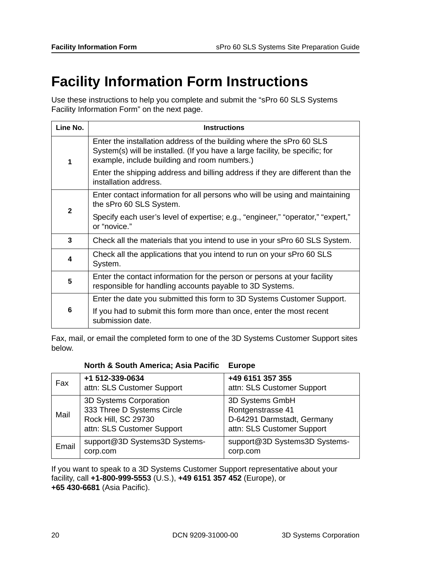## <span id="page-23-0"></span>**Facility Information Form Instructions**

Use these instructions to help you complete and submit the ["sPro 60 SLS Systems](#page-24-0)  [Facility Information Form"](#page-24-0) on the next page.

| Line No.     | <b>Instructions</b>                                                                                                                                                                                  |  |  |
|--------------|------------------------------------------------------------------------------------------------------------------------------------------------------------------------------------------------------|--|--|
| 1            | Enter the installation address of the building where the sPro 60 SLS<br>System(s) will be installed. (If you have a large facility, be specific; for<br>example, include building and room numbers.) |  |  |
|              | Enter the shipping address and billing address if they are different than the<br>installation address.                                                                                               |  |  |
| $\mathbf{2}$ | Enter contact information for all persons who will be using and maintaining<br>the sPro 60 SLS System.                                                                                               |  |  |
|              | Specify each user's level of expertise; e.g., "engineer," "operator," "expert,"<br>or "novice."                                                                                                      |  |  |
| 3            | Check all the materials that you intend to use in your sPro 60 SLS System.                                                                                                                           |  |  |
| 4            | Check all the applications that you intend to run on your sPro 60 SLS<br>System.                                                                                                                     |  |  |
| 5            | Enter the contact information for the person or persons at your facility<br>responsible for handling accounts payable to 3D Systems.                                                                 |  |  |
|              | Enter the date you submitted this form to 3D Systems Customer Support.                                                                                                                               |  |  |
| 6            | If you had to submit this form more than once, enter the most recent<br>submission date.                                                                                                             |  |  |

Fax, mail, or email the completed form to one of the 3D Systems Customer Support sites below.

**North & South America; Asia Pacific Europe**

| Fax   | +1 512-339-0634<br>attn: SLS Customer Support                                                             | +49 6151 357 355<br>attn: SLS Customer Support                                                   |
|-------|-----------------------------------------------------------------------------------------------------------|--------------------------------------------------------------------------------------------------|
| Mail  | 3D Systems Corporation<br>333 Three D Systems Circle<br>Rock Hill, SC 29730<br>attn: SLS Customer Support | 3D Systems GmbH<br>Rontgenstrasse 41<br>D-64291 Darmstadt, Germany<br>attn: SLS Customer Support |
| Email | support@3D Systems3D Systems-<br>corp.com                                                                 | support@3D Systems3D Systems-<br>corp.com                                                        |

If you want to speak to a 3D Systems Customer Support representative about your facility, call **+1-800-999-5553** (U.S.), **+49 6151 357 452** (Europe), or **+65 430-6681** (Asia Pacific).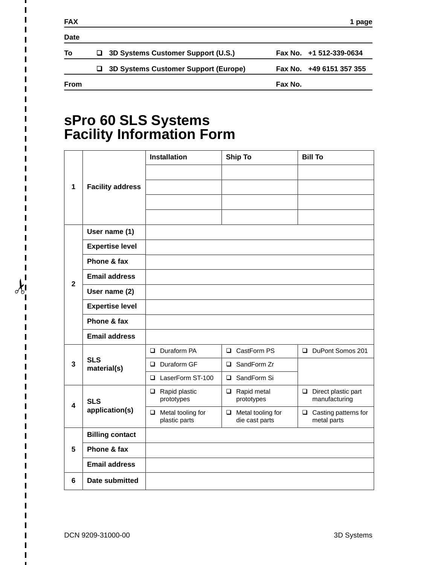#### **FAX 1 page**

**Date**

 $\lambda$ 

### <span id="page-24-0"></span>**sPro 60 SLS Systems Facility Information Form**

|                | <b>Facility address</b> | <b>Installation</b>                       | <b>Ship To</b>                             | <b>Bill To</b>                              |
|----------------|-------------------------|-------------------------------------------|--------------------------------------------|---------------------------------------------|
|                |                         |                                           |                                            |                                             |
| 1              |                         |                                           |                                            |                                             |
|                |                         |                                           |                                            |                                             |
|                |                         |                                           |                                            |                                             |
|                | User name (1)           |                                           |                                            |                                             |
|                | <b>Expertise level</b>  |                                           |                                            |                                             |
|                | Phone & fax             |                                           |                                            |                                             |
| $\overline{2}$ | <b>Email address</b>    |                                           |                                            |                                             |
|                | User name (2)           |                                           |                                            |                                             |
|                | <b>Expertise level</b>  |                                           |                                            |                                             |
|                | Phone & fax             |                                           |                                            |                                             |
|                | <b>Email address</b>    |                                           |                                            |                                             |
|                | <b>SLS</b>              | Duraform PA<br>$\Box$                     | □ CastForm PS                              | DuPont Somos 201                            |
| 3              | material(s)             | Duraform GF                               | □ SandForm Zr                              |                                             |
|                |                         | LaserForm ST-100                          | □ SandForm Si                              |                                             |
| 4              | <b>SLS</b>              | Rapid plastic<br>❏<br>prototypes          | $\Box$ Rapid metal<br>prototypes           | $\Box$ Direct plastic part<br>manufacturing |
|                | application(s)          | $\Box$ Metal tooling for<br>plastic parts | $\Box$ Metal tooling for<br>die cast parts | $\Box$ Casting patterns for<br>metal parts  |
|                | <b>Billing contact</b>  |                                           |                                            |                                             |
| 5              | Phone & fax             |                                           |                                            |                                             |
|                | <b>Email address</b>    |                                           |                                            |                                             |
| 6              | Date submitted          |                                           |                                            |                                             |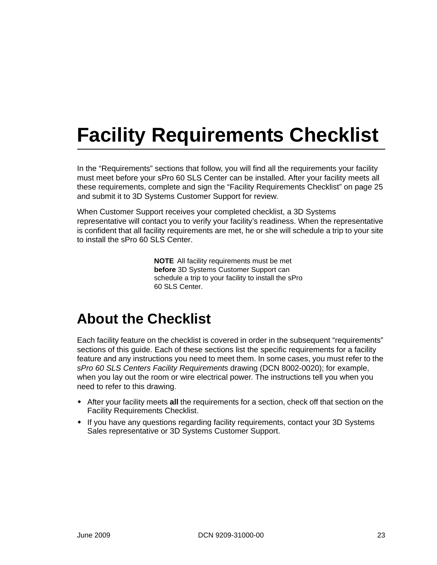# <span id="page-26-2"></span><span id="page-26-0"></span>**Facility Requirements Checklist**

In the "Requirements" sections that follow, you will find all the requirements your facility must meet before your sPro 60 SLS Center can be installed. After your facility meets all these requirements, complete and sign the ["Facility Requirements Checklist" on page 25](#page-28-0)  and submit it to 3D Systems Customer Support for review.

When Customer Support receives your completed checklist, a 3D Systems representative will contact you to verify your facility's readiness. When the representative is confident that all facility requirements are met, he or she will schedule a trip to your site to install the sPro 60 SLS Center.

> **NOTE** All facility requirements must be met **before** 3D Systems Customer Support can schedule a trip to your facility to install the sPro 60 SLS Center.

## <span id="page-26-1"></span>**About the Checklist**

Each facility feature on the checklist is covered in order in the subsequent "requirements" sections of this guide. Each of these sections list the specific requirements for a facility feature and any instructions you need to meet them. In some cases, you must refer to the *sPro 60 SLS Centers Facility Requirements* drawing (DCN 8002-0020); for example, when you lay out the room or wire electrical power. The instructions tell you when you need to refer to this drawing.

- After your facility meets **all** the requirements for a section, check off that section on the [Facility Requirements Checklist](#page-26-0).
- If you have any questions regarding facility requirements, contact your 3D Systems Sales representative or 3D Systems Customer Support.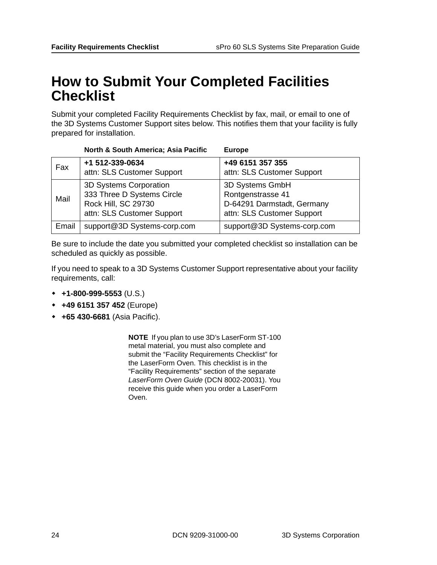### <span id="page-27-0"></span>**How to Submit Your Completed Facilities Checklist**

Submit your completed [Facility Requirements Checklist](#page-26-0) by fax, mail, or email to one of the 3D Systems Customer Support sites below. This notifies them that your facility is fully prepared for installation.

|       | North & South America; Asia Pacific                                                                       | <b>Europe</b>                                                                                    |
|-------|-----------------------------------------------------------------------------------------------------------|--------------------------------------------------------------------------------------------------|
| Fax   | +1 512-339-0634<br>attn: SLS Customer Support                                                             | +49 6151 357 355<br>attn: SLS Customer Support                                                   |
| Mail  | 3D Systems Corporation<br>333 Three D Systems Circle<br>Rock Hill, SC 29730<br>attn: SLS Customer Support | 3D Systems GmbH<br>Rontgenstrasse 41<br>D-64291 Darmstadt, Germany<br>attn: SLS Customer Support |
| Email | support@3D Systems-corp.com                                                                               | support@3D Systems-corp.com                                                                      |

Be sure to include the date you submitted your completed checklist so installation can be scheduled as quickly as possible.

If you need to speak to a 3D Systems Customer Support representative about your facility requirements, call:

- **+1-800-999-5553** (U.S.)
- **+49 6151 357 452** (Europe)
- **+65 430-6681** (Asia Pacific).

**NOTE** If you plan to use 3D's LaserForm ST-100 metal material, you must also complete and submit the "Facility Requirements Checklist" for the LaserForm Oven. This checklist is in the "Facility Requirements" section of the separate *LaserForm Oven Guide* (DCN 8002-20031). You receive this guide when you order a LaserForm Oven.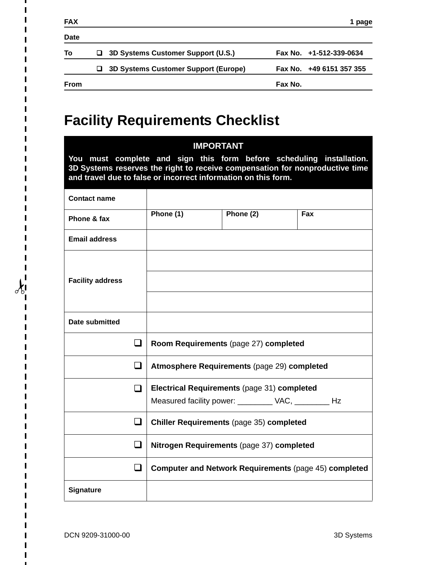| <b>FAX</b>  |  |                                        | page    |                          |
|-------------|--|----------------------------------------|---------|--------------------------|
| Date        |  |                                        |         |                          |
| To          |  | □ 3D Systems Customer Support (U.S.)   |         | Fax No. +1-512-339-0634  |
|             |  | □ 3D Systems Customer Support (Europe) |         | Fax No. +49 6151 357 355 |
| <b>From</b> |  |                                        | Fax No. |                          |

## <span id="page-28-0"></span>**Facility Requirements Checklist**

#### **IMPORTANT**

**You must complete and sign this form before scheduling installation. 3D Systems reserves the right to receive compensation for nonproductive time and travel due to false or incorrect information on this form.**

| <b>Contact name</b>     |           |                                                              |     |
|-------------------------|-----------|--------------------------------------------------------------|-----|
| Phone & fax             | Phone (1) | Phone (2)                                                    | Fax |
| <b>Email address</b>    |           |                                                              |     |
|                         |           |                                                              |     |
| <b>Facility address</b> |           |                                                              |     |
|                         |           |                                                              |     |
| Date submitted          |           |                                                              |     |
| - 1                     |           | Room Requirements (page 27) completed                        |     |
| $\Box$                  |           | Atmosphere Requirements (page 29) completed                  |     |
| - 1                     |           | Electrical Requirements (page 31) completed                  |     |
|                         |           | Measured facility power: _________ VAC, ________ Hz          |     |
| $\Box$                  |           | <b>Chiller Requirements (page 35) completed</b>              |     |
| $\Box$                  |           | Nitrogen Requirements (page 37) completed                    |     |
| $\Box$                  |           | <b>Computer and Network Requirements (page 45) completed</b> |     |
| <b>Signature</b>        |           |                                                              |     |

 $\lambda$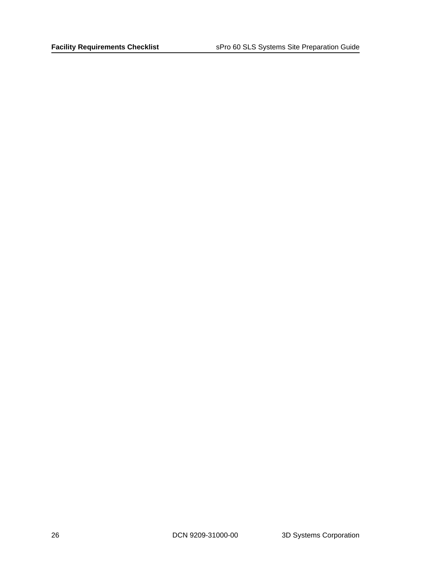26 DCN 9209-31000-00 3D Systems Corporation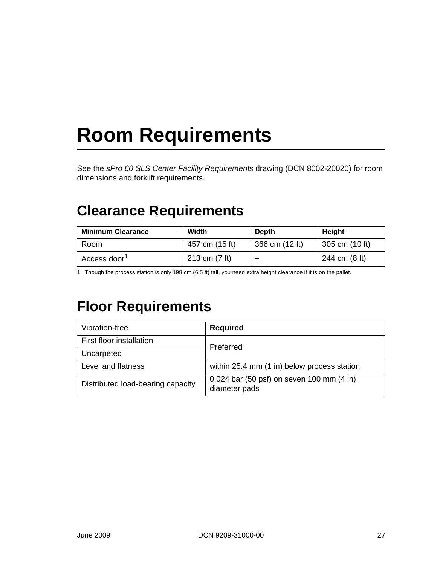## <span id="page-30-3"></span><span id="page-30-0"></span>**Room Requirements**

See the *sPro 60 SLS Center Facility Requirements* drawing (DCN 8002-20020) for room dimensions and forklift requirements.

## <span id="page-30-1"></span>**Clearance Requirements**

| <b>Minimum Clearance</b> | Width          | Depth          | <b>Height</b>  |
|--------------------------|----------------|----------------|----------------|
| Room                     | 457 cm (15 ft) | 366 cm (12 ft) | 305 cm (10 ft) |
| Access door <sup>1</sup> | 213 cm (7 ft)  |                | 244 cm (8 ft)  |

1. Though the process station is only 198 cm (6.5 ft) tall, you need extra height clearance if it is on the pallet.

## <span id="page-30-2"></span>**Floor Requirements**

| Vibration-free                    | <b>Required</b>                                            |  |
|-----------------------------------|------------------------------------------------------------|--|
| First floor installation          | Preferred                                                  |  |
| Uncarpeted                        |                                                            |  |
| Level and flatness                | within 25.4 mm (1 in) below process station                |  |
| Distributed load-bearing capacity | 0.024 bar (50 psf) on seven 100 mm (4 in)<br>diameter pads |  |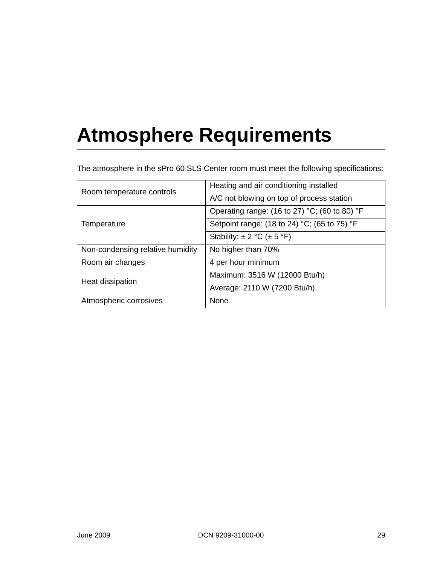## <span id="page-32-1"></span><span id="page-32-0"></span>**Atmosphere Requirements**

The atmosphere in the sPro 60 SLS Center room must meet the following specifications:

| Room temperature controls<br>Temperature | Heating and air conditioning installed                    |  |
|------------------------------------------|-----------------------------------------------------------|--|
|                                          | A/C not blowing on top of process station                 |  |
|                                          | Operating range: (16 to 27) $°C$ ; (60 to 80) $\degree$ F |  |
|                                          | Setpoint range: (18 to 24) °C; (65 to 75) °F              |  |
|                                          | Stability: $\pm 2$ °C ( $\pm 5$ °F)                       |  |
| Non-condensing relative humidity         | No higher than 70%                                        |  |
| Room air changes                         | 4 per hour minimum                                        |  |
| Heat dissipation                         | Maximum: 3516 W (12000 Btu/h)                             |  |
|                                          | Average: 2110 W (7200 Btu/h)                              |  |
| Atmospheric corrosives                   | None                                                      |  |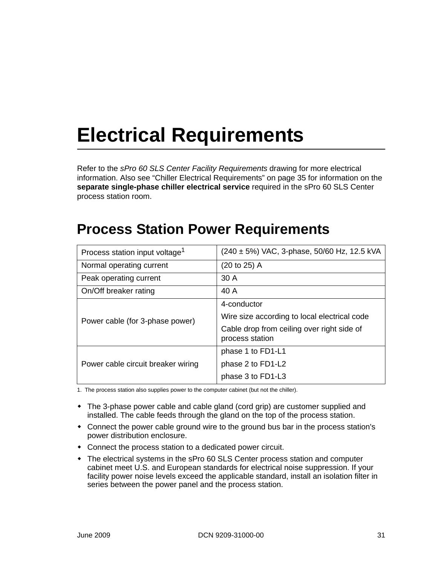## <span id="page-34-2"></span><span id="page-34-0"></span>**Electrical Requirements**

Refer to the *sPro 60 SLS Center Facility Requirements* drawing for more electrical information. Also see ["Chiller Electrical Requirements" on page 35](#page-38-5) for information on the **separate single-phase chiller electrical service** required in the sPro 60 SLS Center process station room.

## <span id="page-34-1"></span>**Process Station Power Requirements**

| Process station input voltage <sup>1</sup> | $(240 \pm 5%)$ VAC, 3-phase, 50/60 Hz, 12.5 kVA               |  |
|--------------------------------------------|---------------------------------------------------------------|--|
| Normal operating current                   | (20 to 25) A                                                  |  |
| Peak operating current                     | 30 A                                                          |  |
| On/Off breaker rating                      | 40 A                                                          |  |
| Power cable (for 3-phase power)            | 4-conductor                                                   |  |
|                                            | Wire size according to local electrical code                  |  |
|                                            | Cable drop from ceiling over right side of<br>process station |  |
| Power cable circuit breaker wiring         | phase 1 to FD1-L1                                             |  |
|                                            | phase 2 to FD1-L2                                             |  |
|                                            | phase 3 to FD1-L3                                             |  |

1. The process station also supplies power to the computer cabinet (but not the chiller).

- The 3-phase power cable and cable gland (cord grip) are customer supplied and installed. The cable feeds through the gland on the top of the process station.
- Connect the power cable ground wire to the ground bus bar in the process station's power distribution enclosure.
- Connect the process station to a dedicated power circuit.
- The electrical systems in the sPro 60 SLS Center process station and computer cabinet meet U.S. and European standards for electrical noise suppression. If your facility power noise levels exceed the applicable standard, install an isolation filter in series between the power panel and the process station.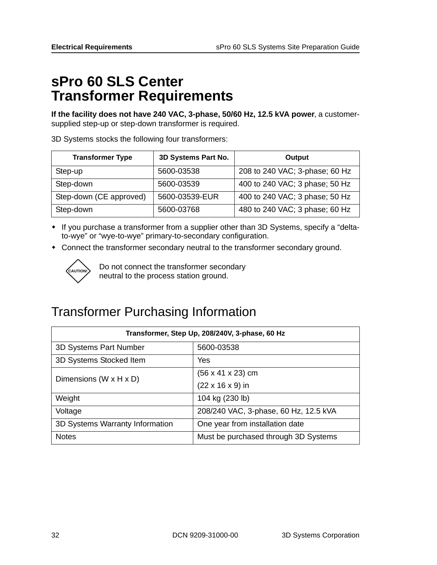### <span id="page-35-0"></span>**sPro 60 SLS Center Transformer Requirements**

**If the facility does not have 240 VAC, 3-phase, 50/60 Hz, 12.5 kVA power**, a customersupplied step-up or step-down transformer is required.

3D Systems stocks the following four transformers:

| <b>Transformer Type</b> | 3D Systems Part No. | Output                         |
|-------------------------|---------------------|--------------------------------|
| Step-up                 | 5600-03538          | 208 to 240 VAC; 3-phase; 60 Hz |
| Step-down               | 5600-03539          | 400 to 240 VAC; 3 phase; 50 Hz |
| Step-down (CE approved) | 5600-03539-EUR      | 400 to 240 VAC; 3 phase; 50 Hz |
| Step-down               | 5600-03768          | 480 to 240 VAC; 3 phase; 60 Hz |

- If you purchase a transformer from a supplier other than 3D Systems, specify a "deltato-wye" or "wye-to-wye" primary-to-secondary configuration.
- Connect the transformer secondary neutral to the transformer secondary ground.



Do not connect the transformer secondary neutral to the process station ground.

#### Transformer Purchasing Information

| Transformer, Step Up, 208/240V, 3-phase, 60 Hz |                                       |  |
|------------------------------------------------|---------------------------------------|--|
| 3D Systems Part Number                         | 5600-03538                            |  |
| 3D Systems Stocked Item                        | Yes                                   |  |
| Dimensions (W $\times$ H $\times$ D)           | (56 x 41 x 23) cm                     |  |
|                                                | (22 x 16 x 9) in                      |  |
| Weight                                         | 104 kg (230 lb)                       |  |
| Voltage                                        | 208/240 VAC, 3-phase, 60 Hz, 12.5 kVA |  |
| 3D Systems Warranty Information                | One year from installation date       |  |
| <b>Notes</b>                                   | Must be purchased through 3D Systems  |  |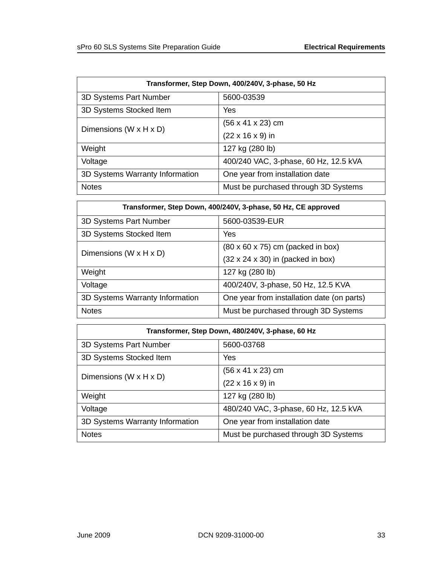| Transformer, Step Down, 400/240V, 3-phase, 50 Hz |                                       |  |  |
|--------------------------------------------------|---------------------------------------|--|--|
| 3D Systems Part Number                           | 5600-03539                            |  |  |
| 3D Systems Stocked Item                          | Yes                                   |  |  |
| Dimensions (W $\times$ H $\times$ D)             | (56 x 41 x 23) cm                     |  |  |
|                                                  | $(22 \times 16 \times 9)$ in          |  |  |
| Weight                                           | 127 kg (280 lb)                       |  |  |
| Voltage                                          | 400/240 VAC, 3-phase, 60 Hz, 12.5 kVA |  |  |
| 3D Systems Warranty Information                  | One year from installation date       |  |  |
| <b>Notes</b>                                     | Must be purchased through 3D Systems  |  |  |

| Transformer, Step Down, 400/240V, 3-phase, 50 Hz, CE approved |                                               |  |  |
|---------------------------------------------------------------|-----------------------------------------------|--|--|
| 3D Systems Part Number                                        | 5600-03539-EUR                                |  |  |
| 3D Systems Stocked Item                                       | Yes                                           |  |  |
| Dimensions (W $\times$ H $\times$ D)                          | $(80 \times 60 \times 75)$ cm (packed in box) |  |  |
|                                                               | $(32 \times 24 \times 30)$ in (packed in box) |  |  |
| Weight                                                        | 127 kg (280 lb)                               |  |  |
| Voltage                                                       | 400/240V, 3-phase, 50 Hz, 12.5 KVA            |  |  |
| 3D Systems Warranty Information                               | One year from installation date (on parts)    |  |  |
| <b>Notes</b><br>Must be purchased through 3D Systems          |                                               |  |  |

| Transformer, Step Down, 480/240V, 3-phase, 60 Hz |                                       |  |  |
|--------------------------------------------------|---------------------------------------|--|--|
| 3D Systems Part Number                           | 5600-03768                            |  |  |
| 3D Systems Stocked Item                          | Yes                                   |  |  |
| Dimensions (W x H x D)                           | (56 x 41 x 23) cm                     |  |  |
|                                                  | $(22 \times 16 \times 9)$ in          |  |  |
| Weight                                           | 127 kg (280 lb)                       |  |  |
| Voltage                                          | 480/240 VAC, 3-phase, 60 Hz, 12.5 kVA |  |  |
| 3D Systems Warranty Information                  | One year from installation date       |  |  |
| <b>Notes</b>                                     | Must be purchased through 3D Systems  |  |  |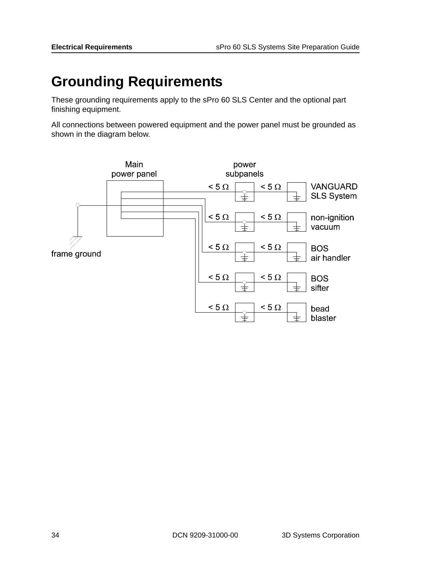### <span id="page-37-0"></span>**Grounding Requirements**

These grounding requirements apply to the sPro 60 SLS Center and the optional part finishing equipment.

All connections between powered equipment and the power panel must be grounded as shown in the diagram below.

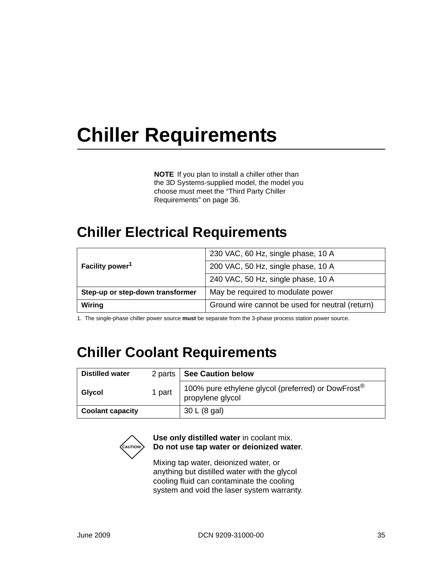# **Chiller Requirements**

**NOTE** If you plan to install a chiller other than the 3D Systems-supplied model, the model you choose must meet the ["Third Party Chiller](#page-39-0)  [Requirements" on page 36.](#page-39-0)

### **Chiller Electrical Requirements**

|                                  | 230 VAC, 60 Hz, single phase, 10 A              |  |  |
|----------------------------------|-------------------------------------------------|--|--|
| Facility power <sup>1</sup>      | 200 VAC, 50 Hz, single phase, 10 A              |  |  |
|                                  | 240 VAC, 50 Hz, single phase, 10 A              |  |  |
| Step-up or step-down transformer | May be required to modulate power               |  |  |
| Wiring                           | Ground wire cannot be used for neutral (return) |  |  |

1. The single-phase chiller power source **must** be separate from the 3-phase process station power source.

# **Chiller Coolant Requirements**

| <b>Distilled water</b>  |        | 2 parts   See Caution below                                                        |  |
|-------------------------|--------|------------------------------------------------------------------------------------|--|
| Glycol                  | 1 part | 100% pure ethylene glycol (preferred) or DowFrost <sup>®</sup><br>propylene glycol |  |
| <b>Coolant capacity</b> |        | 30 L (8 gal)                                                                       |  |



**Use only distilled water** in coolant mix. **Do not use tap water or deionized water**.

Mixing tap water, deionized water, or anything but distilled water with the glycol cooling fluid can contaminate the cooling system and void the laser system warranty.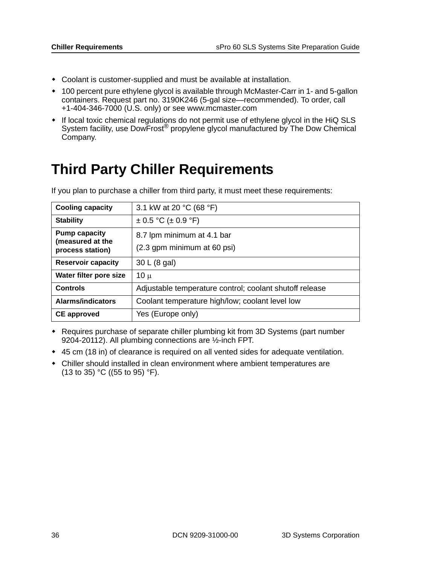- Coolant is customer-supplied and must be available at installation.
- 100 percent pure ethylene glycol is available through McMaster-Carr in 1- and 5-gallon containers. Request part no. 3190K246 (5-gal size—recommended). To order, call +1-404-346-7000 (U.S. only) or see www.mcmaster.com
- If local toxic chemical regulations do not permit use of ethylene glycol in the HiQ SLS System facility, use DowFrost® propylene glycol manufactured by The Dow Chemical Company.

# <span id="page-39-0"></span>**Third Party Chiller Requirements**

If you plan to purchase a chiller from third party, it must meet these requirements:

| <b>Cooling capacity</b>              | 3.1 kW at 20 °C (68 °F)                                 |  |
|--------------------------------------|---------------------------------------------------------|--|
| <b>Stability</b>                     | $\pm$ 0.5 °C ( $\pm$ 0.9 °F)                            |  |
| <b>Pump capacity</b>                 | 8.7 lpm minimum at 4.1 bar                              |  |
| (measured at the<br>process station) | (2.3 gpm minimum at 60 psi)                             |  |
| <b>Reservoir capacity</b>            | 30 L (8 gal)                                            |  |
| Water filter pore size               | $10 \mu$                                                |  |
| <b>Controls</b>                      | Adjustable temperature control; coolant shutoff release |  |
| Alarms/indicators                    | Coolant temperature high/low; coolant level low         |  |
| <b>CE</b> approved                   | Yes (Europe only)                                       |  |

 Requires purchase of separate chiller plumbing kit from 3D Systems (part number 9204-20112). All plumbing connections are ½-inch FPT.

- 45 cm (18 in) of clearance is required on all vented sides for adequate ventilation.
- Chiller should installed in clean environment where ambient temperatures are (13 to 35) °C ((55 to 95) °F).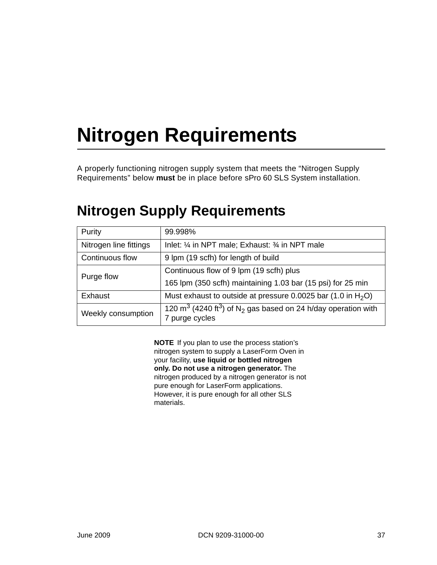# **Nitrogen Requirements**

A properly functioning nitrogen supply system that meets the "[Nitrogen Supply](#page-40-0)  [Requirements"](#page-40-0) below **must** be in place before sPro 60 SLS System installation.

# <span id="page-40-0"></span>**Nitrogen Supply Requirements**

| Purity                 | 99.998%                                                                                                           |  |
|------------------------|-------------------------------------------------------------------------------------------------------------------|--|
| Nitrogen line fittings | Inlet: 1/4 in NPT male; Exhaust: 3/4 in NPT male                                                                  |  |
| Continuous flow        | 9 lpm (19 scfh) for length of build                                                                               |  |
| Purge flow             | Continuous flow of 9 lpm (19 scfh) plus                                                                           |  |
|                        | 165 lpm (350 scfh) maintaining 1.03 bar (15 psi) for 25 min                                                       |  |
| Exhaust                | Must exhaust to outside at pressure 0.0025 bar (1.0 in $H_2O$ )                                                   |  |
| Weekly consumption     | 120 $\text{m}^3$ (4240 ft <sup>3</sup> ) of N <sub>2</sub> gas based on 24 h/day operation with<br>7 purge cycles |  |

**NOTE** If you plan to use the process station's nitrogen system to supply a LaserForm Oven in your facility, **use liquid or bottled nitrogen only. Do not use a nitrogen generator.** The nitrogen produced by a nitrogen generator is not pure enough for LaserForm applications. However, it is pure enough for all other SLS materials.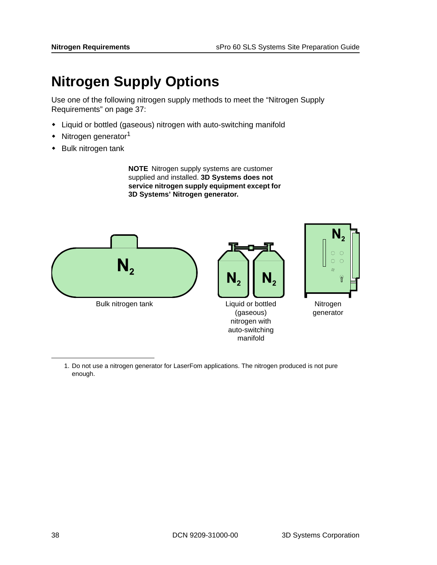### **Nitrogen Supply Options**

Use one of the following nitrogen supply methods to meet the ["Nitrogen Supply](#page-40-0)  [Requirements" on page 37:](#page-40-0)

- Liquid or bottled (gaseous) nitrogen with auto-switching manifold
- Nitrogen generator<sup>1</sup>
- Bulk nitrogen tank

**NOTE** Nitrogen supply systems are customer supplied and installed. **3D Systems does not service nitrogen supply equipment except for 3D Systems' Nitrogen generator.**



<sup>1.</sup> Do not use a nitrogen generator for LaserFom applications. The nitrogen produced is not pure enough.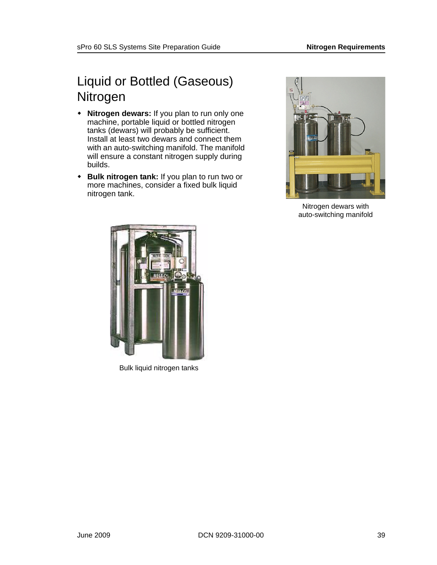### Liquid or Bottled (Gaseous) **Nitrogen**

- **Nitrogen dewars:** If you plan to run only one machine, portable liquid or bottled nitrogen tanks (dewars) will probably be sufficient. Install at least two dewars and connect them with an auto-switching manifold. The manifold will ensure a constant nitrogen supply during builds.
- **Bulk nitrogen tank:** If you plan to run two or more machines, consider a fixed bulk liquid nitrogen tank.



Nitrogen dewars with auto-switching manifold



Bulk liquid nitrogen tanks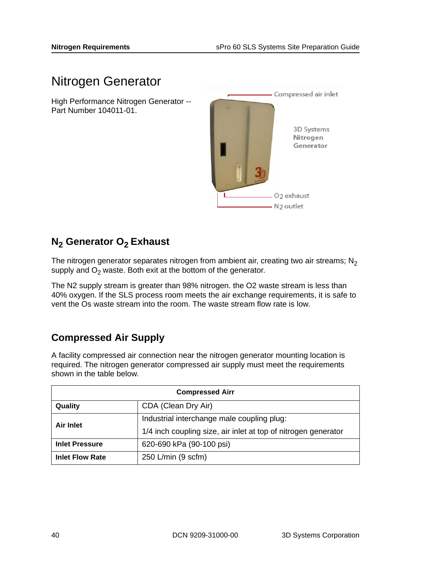### Nitrogen Generator

High Performance Nitrogen Generator -- Part Number 104011-01.



### **N<sub>2</sub> Generator O<sub>2</sub> Exhaust**

The nitrogen generator separates nitrogen from ambient air, creating two air streams;  $N_2$ supply and  $O_2$  waste. Both exit at the bottom of the generator.

The N2 supply stream is greater than 98% nitrogen. the O2 waste stream is less than 40% oxygen. If the SLS process room meets the air exchange requirements, it is safe to vent the Os waste stream into the room. The waste stream flow rate is low.

### **Compressed Air Supply**

A facility compressed air connection near the nitrogen generator mounting location is required. The nitrogen generator compressed air supply must meet the requirements shown in the table below.

| <b>Compressed Airr</b> |                                                                |  |  |
|------------------------|----------------------------------------------------------------|--|--|
| Quality                | CDA (Clean Dry Air)                                            |  |  |
| Air Inlet              | Industrial interchange male coupling plug:                     |  |  |
|                        | 1/4 inch coupling size, air inlet at top of nitrogen generator |  |  |
| <b>Inlet Pressure</b>  | 620-690 kPa (90-100 psi)                                       |  |  |
| <b>Inlet Flow Rate</b> | 250 L/min (9 scfm)                                             |  |  |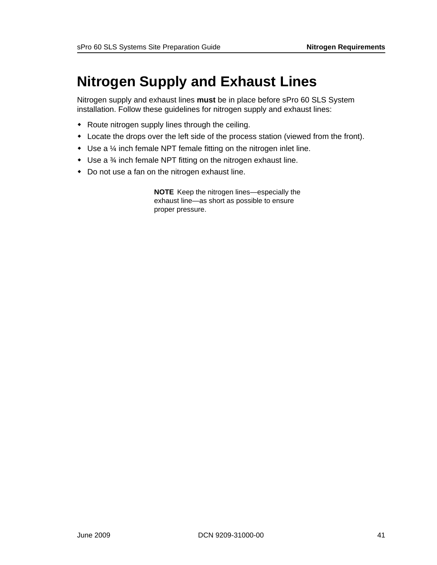# <span id="page-44-0"></span>**Nitrogen Supply and Exhaust Lines**

Nitrogen supply and exhaust lines **must** be in place before sPro 60 SLS System installation. Follow these guidelines for nitrogen supply and exhaust lines:

- Route nitrogen supply lines through the ceiling.
- Locate the drops over the left side of the process station (viewed from the front).
- Use a ¼ inch female NPT female fitting on the nitrogen inlet line.
- Use a ¾ inch female NPT fitting on the nitrogen exhaust line.
- Do not use a fan on the nitrogen exhaust line.

**NOTE** Keep the nitrogen lines—especially the exhaust line—as short as possible to ensure proper pressure.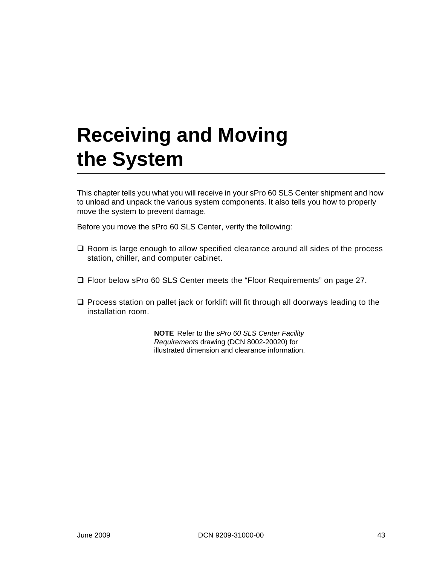# **Receiving and Moving the System**

This chapter tells you what you will receive in your sPro 60 SLS Center shipment and how to unload and unpack the various system components. It also tells you how to properly move the system to prevent damage.

Before you move the sPro 60 SLS Center, verify the following:

- $\Box$  Room is large enough to allow specified clearance around all sides of the process station, chiller, and computer cabinet.
- □ Floor below sPro 60 SLS Center meets the ["Floor Requirements" on page 27](#page-30-0).
- $\Box$  Process station on pallet jack or forklift will fit through all doorways leading to the installation room.

**NOTE** Refer to the *sPro 60 SLS Center Facility Requirements* drawing (DCN 8002-20020) for illustrated dimension and clearance information.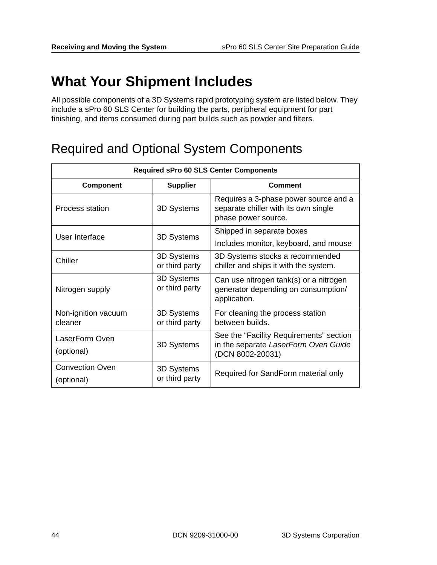# **What Your Shipment Includes**

All possible components of a 3D Systems rapid prototyping system are listed below. They include a sPro 60 SLS Center for building the parts, peripheral equipment for part finishing, and items consumed during part builds such as powder and filters.

### Required and Optional System Components

| <b>Required sPro 60 SLS Center Components</b> |                              |                                                                                                      |  |  |
|-----------------------------------------------|------------------------------|------------------------------------------------------------------------------------------------------|--|--|
| <b>Component</b>                              | <b>Supplier</b>              | <b>Comment</b>                                                                                       |  |  |
| Process station                               | 3D Systems                   | Requires a 3-phase power source and a<br>separate chiller with its own single<br>phase power source. |  |  |
| User Interface                                | 3D Systems                   | Shipped in separate boxes                                                                            |  |  |
|                                               |                              | Includes monitor, keyboard, and mouse                                                                |  |  |
| Chiller                                       | 3D Systems<br>or third party | 3D Systems stocks a recommended<br>chiller and ships it with the system.                             |  |  |
| Nitrogen supply                               | 3D Systems<br>or third party | Can use nitrogen tank(s) or a nitrogen<br>generator depending on consumption/<br>application.        |  |  |
| Non-ignition vacuum<br>cleaner                | 3D Systems<br>or third party | For cleaning the process station<br>between builds.                                                  |  |  |
| LaserForm Oven<br>(optional)                  | 3D Systems                   | See the "Facility Requirements" section<br>in the separate LaserForm Oven Guide<br>(DCN 8002-20031)  |  |  |
| <b>Convection Oven</b><br>(optional)          | 3D Systems<br>or third party | Required for SandForm material only                                                                  |  |  |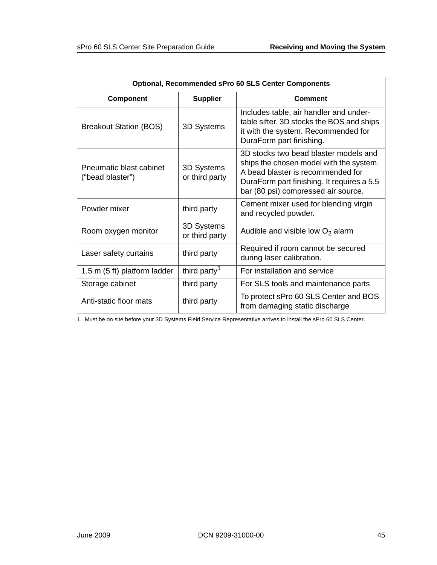| Optional, Recommended sPro 60 SLS Center Components |                              |                                                                                                                                                                                                            |  |  |
|-----------------------------------------------------|------------------------------|------------------------------------------------------------------------------------------------------------------------------------------------------------------------------------------------------------|--|--|
| Component                                           | <b>Supplier</b>              | Comment                                                                                                                                                                                                    |  |  |
| <b>Breakout Station (BOS)</b>                       | 3D Systems                   | Includes table, air handler and under-<br>table sifter. 3D stocks the BOS and ships<br>it with the system. Recommended for<br>DuraForm part finishing.                                                     |  |  |
| Pneumatic blast cabinet<br>("bead blaster")         | 3D Systems<br>or third party | 3D stocks two bead blaster models and<br>ships the chosen model with the system.<br>A bead blaster is recommended for<br>DuraForm part finishing. It requires a 5.5<br>bar (80 psi) compressed air source. |  |  |
| Powder mixer                                        | third party                  | Cement mixer used for blending virgin<br>and recycled powder.                                                                                                                                              |  |  |
| Room oxygen monitor                                 | 3D Systems<br>or third party | Audible and visible low $O2$ alarm                                                                                                                                                                         |  |  |
| third party<br>Laser safety curtains                |                              | Required if room cannot be secured<br>during laser calibration.                                                                                                                                            |  |  |
| 1.5 m (5 ft) platform ladder                        | third party <sup>1</sup>     | For installation and service                                                                                                                                                                               |  |  |
| Storage cabinet                                     | third party                  | For SLS tools and maintenance parts                                                                                                                                                                        |  |  |
| Anti-static floor mats                              | third party                  | To protect sPro 60 SLS Center and BOS<br>from damaging static discharge                                                                                                                                    |  |  |

1. Must be on site before your 3D Systems Field Service Representative arrives to install the sPro 60 SLS Center.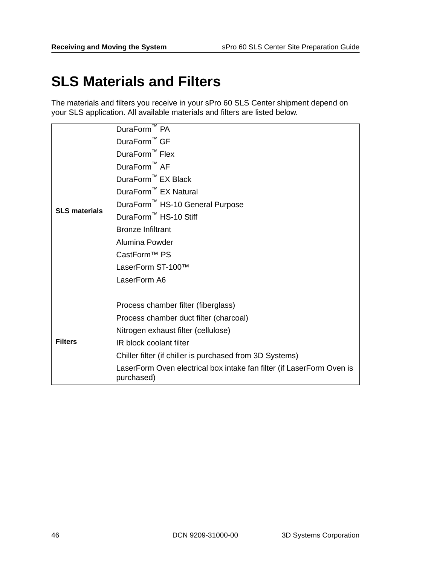# **SLS Materials and Filters**

The materials and filters you receive in your sPro 60 SLS Center shipment depend on your SLS application. All available materials and filters are listed below.

|                      | DuraForm™ PA                                                                        |
|----------------------|-------------------------------------------------------------------------------------|
|                      | DuraForm™ GF                                                                        |
|                      | DuraForm™ Flex                                                                      |
|                      | DuraForm™ AF                                                                        |
|                      | DuraForm™ EX Black                                                                  |
|                      | DuraForm <sup>™</sup> EX Natural                                                    |
|                      | DuraForm™ HS-10 General Purpose                                                     |
| <b>SLS materials</b> | DuraForm™ HS-10 Stiff                                                               |
|                      | <b>Bronze Infiltrant</b>                                                            |
|                      | <b>Alumina Powder</b>                                                               |
|                      | CastForm™ PS                                                                        |
|                      | LaserForm ST-100™                                                                   |
|                      | LaserForm A6                                                                        |
|                      |                                                                                     |
|                      | Process chamber filter (fiberglass)                                                 |
|                      | Process chamber duct filter (charcoal)                                              |
|                      | Nitrogen exhaust filter (cellulose)                                                 |
| <b>Filters</b>       | IR block coolant filter                                                             |
|                      | Chiller filter (if chiller is purchased from 3D Systems)                            |
|                      | LaserForm Oven electrical box intake fan filter (if LaserForm Oven is<br>purchased) |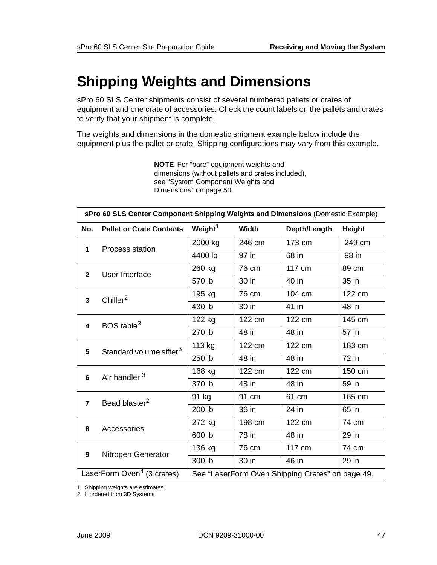### **Shipping Weights and Dimensions**

sPro 60 SLS Center shipments consist of several numbered pallets or crates of equipment and one crate of accessories. Check the count labels on the pallets and crates to verify that your shipment is complete.

The weights and dimensions in the domestic shipment example below include the equipment plus the pallet or crate. Shipping configurations may vary from this example.

> **NOTE** For "bare" equipment weights and dimensions (without pallets and crates included), see ["System Component Weights and](#page-53-0)  [Dimensions" on page 50](#page-53-0).

| sPro 60 SLS Center Component Shipping Weights and Dimensions (Domestic Example)            |                                     |                     |        |              |        |
|--------------------------------------------------------------------------------------------|-------------------------------------|---------------------|--------|--------------|--------|
| No.                                                                                        | <b>Pallet or Crate Contents</b>     | Weight <sup>1</sup> | Width  | Depth/Length | Height |
| 1                                                                                          | Process station                     | 2000 kg             | 246 cm | 173 cm       | 249 cm |
|                                                                                            |                                     | 4400 lb             | 97 in  | 68 in        | 98 in  |
| $\mathbf{2}$                                                                               | User Interface                      | 260 kg              | 76 cm  | 117 cm       | 89 cm  |
|                                                                                            |                                     | 570 lb              | 30 in  | 40 in        | 35 in  |
| 3                                                                                          | Chiller <sup>2</sup>                | 195 kg              | 76 cm  | 104 cm       | 122 cm |
|                                                                                            |                                     | 430 lb              | 30 in  | 41 in        | 48 in  |
| 4                                                                                          | BOS table <sup>3</sup>              | 122 kg              | 122 cm | 122 cm       | 145 cm |
|                                                                                            |                                     | 270 lb              | 48 in  | 48 in        | 57 in  |
| 5                                                                                          | Standard volume sifter <sup>3</sup> | 113 kg              | 122 cm | 122 cm       | 183 cm |
|                                                                                            |                                     | 250 lb              | 48 in  | 48 in        | 72 in  |
| 6                                                                                          | Air handler <sup>3</sup>            | 168 kg              | 122 cm | 122 cm       | 150 cm |
|                                                                                            |                                     | 370 lb              | 48 in  | 48 in        | 59 in  |
| $\overline{7}$                                                                             | Bead blaster <sup>2</sup>           | 91 kg               | 91 cm  | 61 cm        | 165 cm |
|                                                                                            |                                     | 200 lb              | 36 in  | 24 in        | 65 in  |
| 8                                                                                          | Accessories                         | 272 kg              | 198 cm | 122 cm       | 74 cm  |
|                                                                                            |                                     | 600 lb              | 78 in  | 48 in        | 29 in  |
| 9                                                                                          | Nitrogen Generator                  | 136 kg              | 76 cm  | 117 cm       | 74 cm  |
|                                                                                            |                                     | 300 lb              | 30 in  | 46 in        | 29 in  |
| LaserForm Oven <sup>4</sup> (3 crates)<br>See "LaserForm Oven Shipping Crates" on page 49. |                                     |                     |        |              |        |

1. Shipping weights are estimates.

<span id="page-50-0"></span>2. If ordered from 3D Systems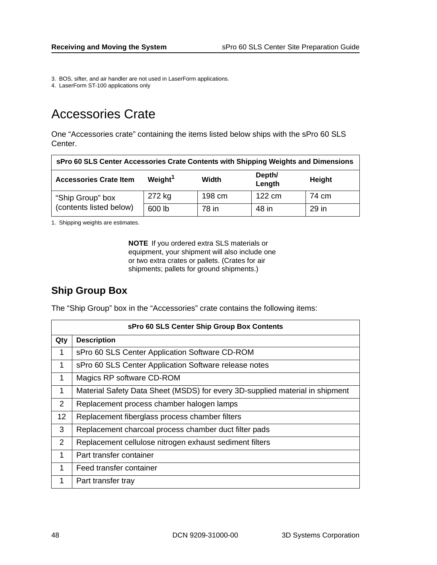- <span id="page-51-0"></span>3. BOS, sifter, and air handler are not used in LaserForm applications.
- 4. LaserForm ST-100 applications only

### Accessories Crate

One "Accessories crate" containing the items listed below ships with the sPro 60 SLS Center.

| sPro 60 SLS Center Accessories Crate Contents with Shipping Weights and Dimensions          |        |        |        |       |
|---------------------------------------------------------------------------------------------|--------|--------|--------|-------|
| Depth/<br>Weight <sup>1</sup><br><b>Accessories Crate Item</b><br>Width<br>Height<br>Length |        |        |        |       |
| "Ship Group" box                                                                            | 272 kg | 198 cm | 122 cm | 74 cm |
| (contents listed below)                                                                     | 600 lb | 78 in  | 48 in  | 29 in |

1. Shipping weights are estimates.

**NOTE** If you ordered extra SLS materials or equipment, your shipment will also include one or two extra crates or pallets. (Crates for air shipments; pallets for ground shipments.)

#### **Ship Group Box**

The "Ship Group" box in the "Accessories" crate contains the following items:

|             | sPro 60 SLS Center Ship Group Box Contents                                   |  |  |  |
|-------------|------------------------------------------------------------------------------|--|--|--|
| Qty         | <b>Description</b>                                                           |  |  |  |
| 1           | sPro 60 SLS Center Application Software CD-ROM                               |  |  |  |
| $\mathbf 1$ | sPro 60 SLS Center Application Software release notes                        |  |  |  |
| 1           | Magics RP software CD-ROM                                                    |  |  |  |
| 1           | Material Safety Data Sheet (MSDS) for every 3D-supplied material in shipment |  |  |  |
| 2           | Replacement process chamber halogen lamps                                    |  |  |  |
| 12          | Replacement fiberglass process chamber filters                               |  |  |  |
| 3           | Replacement charcoal process chamber duct filter pads                        |  |  |  |
| 2           | Replacement cellulose nitrogen exhaust sediment filters                      |  |  |  |
| 1           | Part transfer container                                                      |  |  |  |
| $\mathbf 1$ | Feed transfer container                                                      |  |  |  |
| 1           | Part transfer tray                                                           |  |  |  |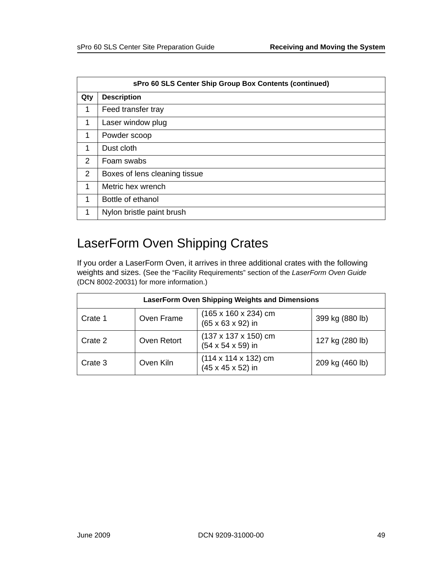|               | sPro 60 SLS Center Ship Group Box Contents (continued) |  |  |  |
|---------------|--------------------------------------------------------|--|--|--|
| Qty           | <b>Description</b>                                     |  |  |  |
| 1             | Feed transfer tray                                     |  |  |  |
| 1             | Laser window plug                                      |  |  |  |
| $\mathbf 1$   | Powder scoop                                           |  |  |  |
| 1             | Dust cloth                                             |  |  |  |
| $\mathcal{P}$ | Foam swabs                                             |  |  |  |
| 2             | Boxes of lens cleaning tissue                          |  |  |  |
| 1             | Metric hex wrench                                      |  |  |  |
| 1             | Bottle of ethanol                                      |  |  |  |
| 1             | Nylon bristle paint brush                              |  |  |  |

### <span id="page-52-0"></span>LaserForm Oven Shipping Crates

If you order a LaserForm Oven, it arrives in three additional crates with the following weights and sizes. (See the "Facility Requirements" section of the *LaserForm Oven Guide* (DCN 8002-20031) for more information.)

| <b>LaserForm Oven Shipping Weights and Dimensions</b>                                |             |                                           |                 |  |
|--------------------------------------------------------------------------------------|-------------|-------------------------------------------|-----------------|--|
| Crate 1                                                                              | Oven Frame  | (165 x 160 x 234) cm<br>(65 x 63 x 92) in | 399 kg (880 lb) |  |
| Crate 2                                                                              | Oven Retort | (137 x 137 x 150) cm<br>(54 x 54 x 59) in | 127 kg (280 lb) |  |
| (114 x 114 x 132) cm<br>209 kg (460 lb)<br>Oven Kiln<br>Crate 3<br>(45 x 45 x 52) in |             |                                           |                 |  |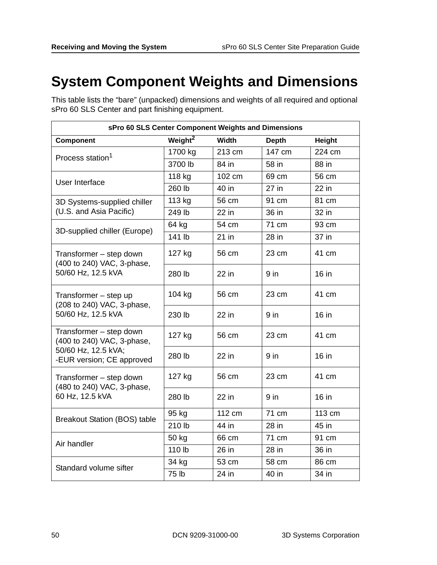# <span id="page-53-1"></span><span id="page-53-0"></span>**System Component Weights and Dimensions**

This table lists the "bare" (unpacked) dimensions and weights of all required and optional sPro 60 SLS Center and part finishing equipment.

| sPro 60 SLS Center Component Weights and Dimensions                        |         |         |                 |         |  |  |
|----------------------------------------------------------------------------|---------|---------|-----------------|---------|--|--|
| Weight <sup>2</sup><br><b>Width</b><br>Component<br><b>Depth</b><br>Height |         |         |                 |         |  |  |
| Process station <sup>1</sup>                                               | 1700 kg | 213 cm  | 147 cm          | 224 cm  |  |  |
|                                                                            | 3700 lb | 84 in   | 58 in           | 88 in   |  |  |
| User Interface                                                             | 118 kg  | 102 cm  | 69 cm           | 56 cm   |  |  |
|                                                                            | 260 lb  | 40 in   | 27 in           | $22$ in |  |  |
| 3D Systems-supplied chiller                                                | 113 kg  | 56 cm   | 91 cm           | 81 cm   |  |  |
| (U.S. and Asia Pacific)                                                    | 249 lb  | $22$ in | 36 in           | 32 in   |  |  |
| 3D-supplied chiller (Europe)                                               | 64 kg   | 54 cm   | 71 cm           | 93 cm   |  |  |
|                                                                            | 141 lb  | $21$ in | 28 in           | 37 in   |  |  |
| Transformer - step down<br>(400 to 240) VAC, 3-phase,                      | 127 kg  | 56 cm   | 23 cm           | 41 cm   |  |  |
| 50/60 Hz, 12.5 kVA                                                         | 280 lb  | 22 in   | 9 <sub>in</sub> | 16 in   |  |  |
| Transformer - step up<br>(208 to 240) VAC, 3-phase,                        | 104 kg  | 56 cm   | 23 cm           | 41 cm   |  |  |
| 50/60 Hz, 12.5 kVA                                                         | 230 lb  | 22 in   | $9$ in          | 16 in   |  |  |
| Transformer - step down<br>(400 to 240) VAC, 3-phase,                      | 127 kg  | 56 cm   | 23 cm           | 41 cm   |  |  |
| 50/60 Hz, 12.5 kVA;<br>-EUR version; CE approved                           | 280 lb  | 22 in   | 9 in            | 16 in   |  |  |
| Transformer - step down<br>(480 to 240) VAC, 3-phase,                      | 127 kg  | 56 cm   | 23 cm           | 41 cm   |  |  |
| 60 Hz, 12.5 kVA                                                            | 280 lb  | 22 in   | 9 <sub>in</sub> | $16$ in |  |  |
| <b>Breakout Station (BOS) table</b>                                        | 95 kg   | 112 cm  | 71 cm           | 113 cm  |  |  |
|                                                                            | 210 lb  | 44 in   | 28 in           | 45 in   |  |  |
| Air handler                                                                | 50 kg   | 66 cm   | 71 cm           | 91 cm   |  |  |
|                                                                            | 110 lb  | 26 in   | 28 in           | 36 in   |  |  |
| Standard volume sifter                                                     | 34 kg   | 53 cm   | 58 cm           | 86 cm   |  |  |
|                                                                            | 75 lb   | 24 in   | 40 in           | 34 in   |  |  |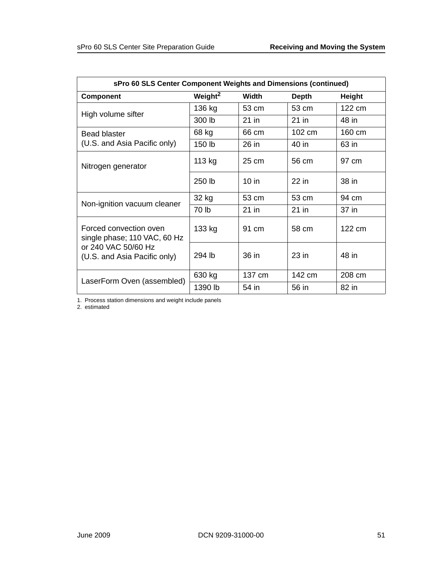| sPro 60 SLS Center Component Weights and Dimensions (continued) |                     |         |              |        |
|-----------------------------------------------------------------|---------------------|---------|--------------|--------|
| <b>Component</b>                                                | Weight <sup>2</sup> | Width   | <b>Depth</b> | Height |
|                                                                 | 136 kg              | 53 cm   | 53 cm        | 122 cm |
| High volume sifter                                              | 300 lb              | 21 in   | $21$ in      | 48 in  |
| <b>Bead blaster</b>                                             | 68 kg               | 66 cm   | 102 cm       | 160 cm |
| (U.S. and Asia Pacific only)                                    | 150 lb              | 26 in   | 40 in        | 63 in  |
| Nitrogen generator                                              | 113 kg              | 25 cm   | 56 cm        | 97 cm  |
|                                                                 | 250 lb              | $10$ in | $22$ in      | 38 in  |
| Non-ignition vacuum cleaner                                     | 32 kg               | 53 cm   | 53 cm        | 94 cm  |
|                                                                 | 70 lb               | $21$ in | $21$ in      | 37 in  |
| Forced convection oven<br>single phase; 110 VAC, 60 Hz          | 133 kg              | 91 cm   | 58 cm        | 122 cm |
| or 240 VAC 50/60 Hz<br>(U.S. and Asia Pacific only)             | 294 lb              | 36 in   | 23 in        | 48 in  |
| LaserForm Oven (assembled)                                      | 630 kg              | 137 cm  | 142 cm       | 208 cm |
|                                                                 | 1390 lb             | 54 in   | 56 in        | 82 in  |

1. Process station dimensions and weight include panels

2. estimated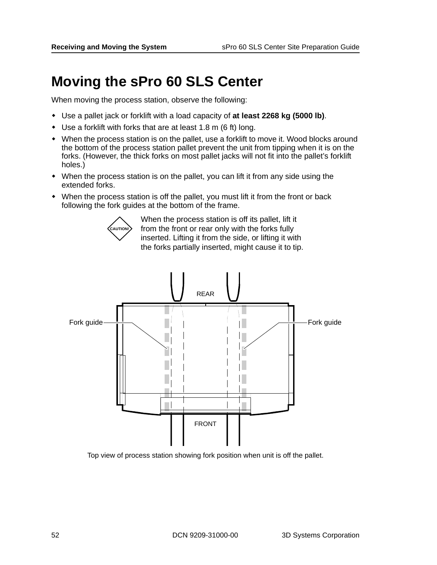# **Moving the sPro 60 SLS Center**

When moving the process station, observe the following:

- Use a pallet jack or forklift with a load capacity of **at least 2268 kg (5000 lb)**.
- Use a forklift with forks that are at least 1.8 m (6 ft) long.
- When the process station is on the pallet, use a forklift to move it. Wood blocks around the bottom of the process station pallet prevent the unit from tipping when it is on the forks. (However, the thick forks on most pallet jacks will not fit into the pallet's forklift holes.)
- When the process station is on the pallet, you can lift it from any side using the extended forks.
- When the process station is off the pallet, you must lift it from the front or back following the fork guides at the bottom of the frame.



When the process station is off its pallet, lift it from the front or rear only with the forks fully inserted. Lifting it from the side, or lifting it with the forks partially inserted, might cause it to tip.



Top view of process station showing fork position when unit is off the pallet.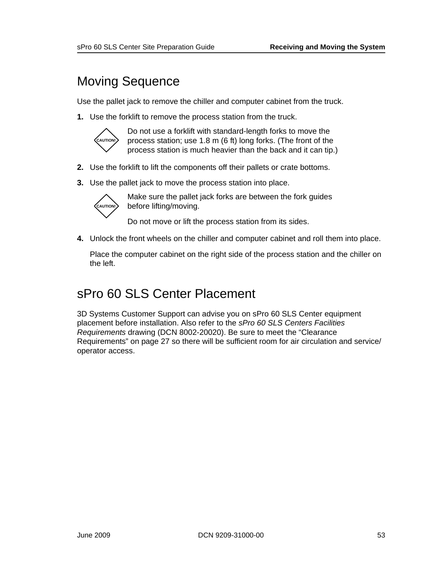### Moving Sequence

Use the pallet jack to remove the chiller and computer cabinet from the truck.

**1.** Use the forklift to remove the process station from the truck.



Do not use a forklift with standard-length forks to move the process station; use 1.8 m (6 ft) long forks. (The front of the process station is much heavier than the back and it can tip.)

- **2.** Use the forklift to lift the components off their pallets or crate bottoms.
- **3.** Use the pallet jack to move the process station into place.



Make sure the pallet jack forks are between the fork guides before lifting/moving.

Do not move or lift the process station from its sides.

**4.** Unlock the front wheels on the chiller and computer cabinet and roll them into place.

Place the computer cabinet on the right side of the process station and the chiller on the left.

### sPro 60 SLS Center Placement

3D Systems Customer Support can advise you on sPro 60 SLS Center equipment placement before installation. Also refer to the *sPro 60 SLS Centers Facilities Requirements* drawing (DCN 8002-20020). Be sure to meet the ["Clearance](#page-30-1)  [Requirements" on page 27](#page-30-1) so there will be sufficient room for air circulation and service/ operator access.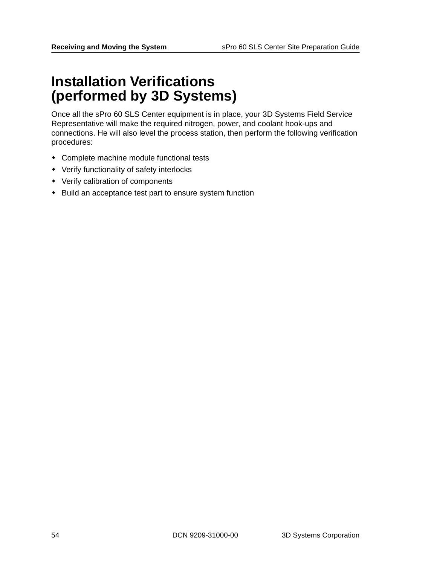### **Installation Verifications (performed by 3D Systems)**

Once all the sPro 60 SLS Center equipment is in place, your 3D Systems Field Service Representative will make the required nitrogen, power, and coolant hook-ups and connections. He will also level the process station, then perform the following verification procedures:

- Complete machine module functional tests
- Verify functionality of safety interlocks
- Verify calibration of components
- Build an acceptance test part to ensure system function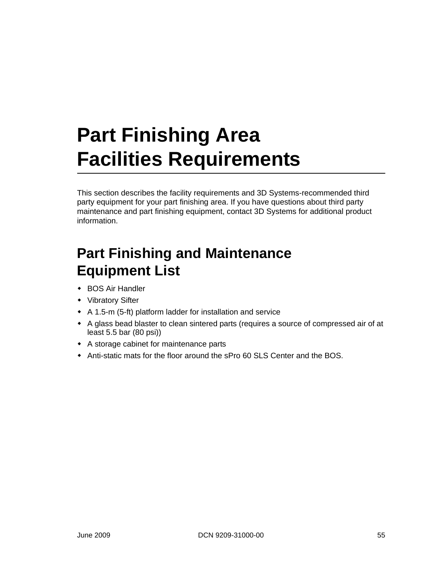# **Part Finishing Area Facilities Requirements**

This section describes the facility requirements and 3D Systems-recommended third party equipment for your part finishing area. If you have questions about third party maintenance and part finishing equipment, contact 3D Systems for additional product information.

# **Part Finishing and Maintenance Equipment List**

- BOS Air Handler
- Vibratory Sifter
- A 1.5-m (5-ft) platform ladder for installation and service
- A glass bead blaster to clean sintered parts (requires a source of compressed air of at least 5.5 bar (80 psi))
- A storage cabinet for maintenance parts
- Anti-static mats for the floor around the sPro 60 SLS Center and the BOS.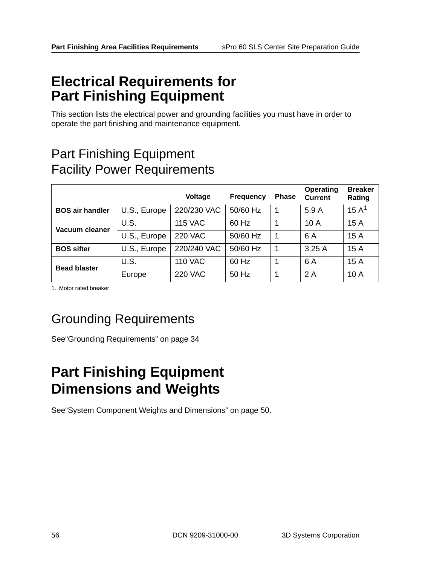### **Electrical Requirements for Part Finishing Equipment**

This section lists the electrical power and grounding facilities you must have in order to operate the part finishing and maintenance equipment.

### Part Finishing Equipment Facility Power Requirements

|                        |              | Voltage        | <b>Frequency</b> | <b>Phase</b> | Operating<br><b>Current</b> | <b>Breaker</b><br>Rating |
|------------------------|--------------|----------------|------------------|--------------|-----------------------------|--------------------------|
| <b>BOS air handler</b> | U.S., Europe | 220/230 VAC    | 50/60 Hz         |              | 5.9 A                       | 15 $A^1$                 |
| Vacuum cleaner         | U.S.         | <b>115 VAC</b> | 60 Hz            |              | 10A                         | 15 A                     |
|                        | U.S., Europe | <b>220 VAC</b> | 50/60 Hz         |              | 6 A                         | 15A                      |
| <b>BOS sifter</b>      | U.S., Europe | 220/240 VAC    | 50/60 Hz         |              | 3.25A                       | 15 A                     |
| <b>Bead blaster</b>    | U.S.         | <b>110 VAC</b> | 60 Hz            |              | 6 A                         | 15 A                     |
|                        | Europe       | <b>220 VAC</b> | 50 Hz            |              | 2 A                         | 10A                      |

1. Motor rated breaker

### Grounding Requirements

See["Grounding Requirements" on page 34](#page-37-0)

# **Part Finishing Equipment Dimensions and Weights**

See["System Component Weights and Dimensions" on page 50](#page-53-1).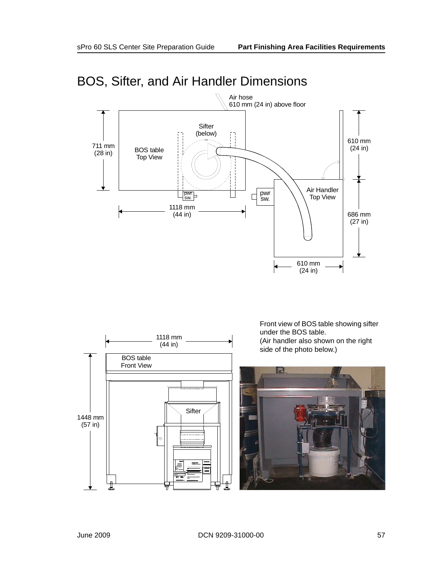### BOS, Sifter, and Air Handler Dimensions





Front view of BOS table showing sifter under the BOS table. (Air handler also shown on the right side of the photo below.)

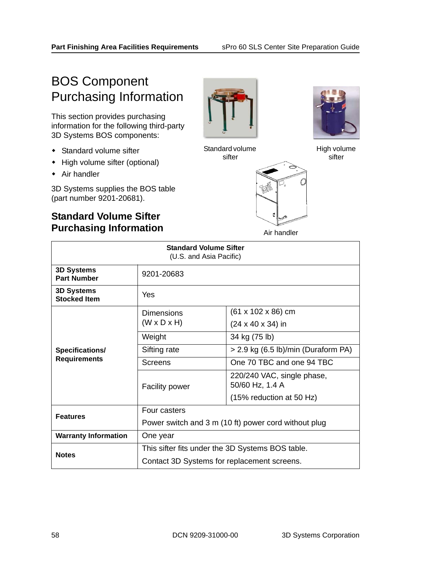### BOS Component Purchasing Information

This section provides purchasing information for the following third-party 3D Systems BOS components:

- Standard volume sifter
- High volume sifter (optional)
- Air handler

3D Systems supplies the BOS table (part number 9201-20681).

### **Standard Volume Sifter Purchasing Information**



Standard volume sifter



Air handler



High volume sifter

|                                   | <b>Standard Volume Sifter</b><br>(U.S. and Asia Pacific) |                                                      |  |  |
|-----------------------------------|----------------------------------------------------------|------------------------------------------------------|--|--|
| 3D Systems<br><b>Part Number</b>  | 9201-20683                                               |                                                      |  |  |
| 3D Systems<br><b>Stocked Item</b> | Yes                                                      |                                                      |  |  |
|                                   | <b>Dimensions</b>                                        | $(61 \times 102 \times 86)$ cm                       |  |  |
|                                   | $(W \times D \times H)$                                  | (24 x 40 x 34) in                                    |  |  |
|                                   | Weight                                                   | 34 kg (75 lb)                                        |  |  |
| Specifications/                   | Sifting rate                                             | $> 2.9$ kg (6.5 lb)/min (Duraform PA)                |  |  |
| <b>Requirements</b>               | Screens                                                  | One 70 TBC and one 94 TBC                            |  |  |
|                                   | <b>Facility power</b>                                    | 220/240 VAC, single phase,<br>50/60 Hz, 1.4 A        |  |  |
|                                   |                                                          | (15% reduction at 50 Hz)                             |  |  |
| <b>Features</b>                   | Four casters                                             |                                                      |  |  |
|                                   |                                                          | Power switch and 3 m (10 ft) power cord without plug |  |  |
| <b>Warranty Information</b>       | One year                                                 |                                                      |  |  |
| <b>Notes</b>                      |                                                          | This sifter fits under the 3D Systems BOS table.     |  |  |
|                                   |                                                          | Contact 3D Systems for replacement screens.          |  |  |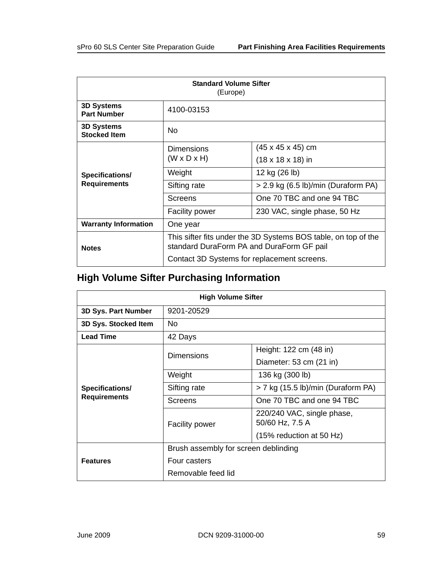| <b>Standard Volume Sifter</b><br>(Europe) |                                                                                                             |                                     |  |
|-------------------------------------------|-------------------------------------------------------------------------------------------------------------|-------------------------------------|--|
| 3D Systems<br><b>Part Number</b>          | 4100-03153                                                                                                  |                                     |  |
| <b>3D Systems</b><br><b>Stocked Item</b>  | No.                                                                                                         |                                     |  |
|                                           | Dimensions                                                                                                  | (45 x 45 x 45) cm                   |  |
|                                           | $(W \times D \times H)$                                                                                     | $(18 \times 18 \times 18)$ in       |  |
| <b>Specifications/</b>                    | Weight                                                                                                      | 12 kg (26 lb)                       |  |
| <b>Requirements</b>                       | Sifting rate                                                                                                | > 2.9 kg (6.5 lb)/min (Duraform PA) |  |
|                                           | Screens                                                                                                     | One 70 TBC and one 94 TBC           |  |
|                                           | <b>Facility power</b>                                                                                       | 230 VAC, single phase, 50 Hz        |  |
| <b>Warranty Information</b>               | One year                                                                                                    |                                     |  |
| <b>Notes</b>                              | This sifter fits under the 3D Systems BOS table, on top of the<br>standard DuraForm PA and DuraForm GF pail |                                     |  |
|                                           | Contact 3D Systems for replacement screens.                                                                 |                                     |  |

### **High Volume Sifter Purchasing Information**

| <b>High Volume Sifter</b> |                                      |                                               |  |
|---------------------------|--------------------------------------|-----------------------------------------------|--|
| 3D Sys. Part Number       | 9201-20529                           |                                               |  |
| 3D Sys. Stocked Item      | No.                                  |                                               |  |
| <b>Lead Time</b>          | 42 Days                              |                                               |  |
|                           | <b>Dimensions</b>                    | Height: 122 cm (48 in)                        |  |
|                           |                                      | Diameter: 53 cm (21 in)                       |  |
|                           | Weight                               | 136 kg (300 lb)                               |  |
| Specifications/           | Sifting rate                         | > 7 kg (15.5 lb)/min (Duraform PA)            |  |
| <b>Requirements</b>       | Screens                              | One 70 TBC and one 94 TBC                     |  |
|                           | <b>Facility power</b>                | 220/240 VAC, single phase,<br>50/60 Hz, 7.5 A |  |
|                           |                                      | (15% reduction at 50 Hz)                      |  |
|                           | Brush assembly for screen deblinding |                                               |  |
| <b>Features</b>           | Four casters                         |                                               |  |
|                           | Removable feed lid                   |                                               |  |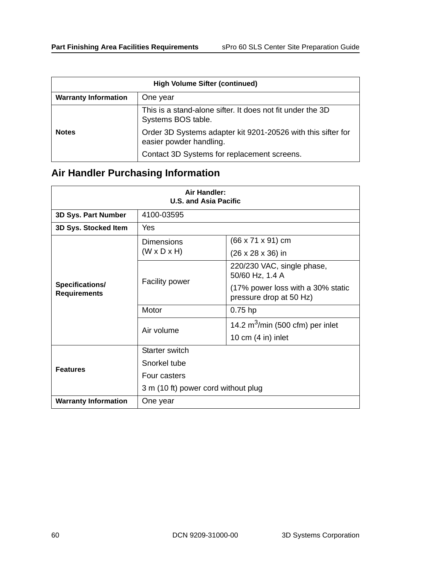| <b>High Volume Sifter (continued)</b>   |                                                                                         |  |  |
|-----------------------------------------|-----------------------------------------------------------------------------------------|--|--|
| <b>Warranty Information</b><br>One year |                                                                                         |  |  |
|                                         | This is a stand-alone sifter. It does not fit under the 3D<br>Systems BOS table.        |  |  |
| <b>Notes</b>                            | Order 3D Systems adapter kit 9201-20526 with this sifter for<br>easier powder handling. |  |  |
|                                         | Contact 3D Systems for replacement screens.                                             |  |  |

### **Air Handler Purchasing Information**

| Air Handler:<br><b>U.S. and Asia Pacific</b> |                                     |                                                              |  |
|----------------------------------------------|-------------------------------------|--------------------------------------------------------------|--|
| 3D Sys. Part Number                          | 4100-03595                          |                                                              |  |
| 3D Sys. Stocked Item                         | Yes                                 |                                                              |  |
|                                              | <b>Dimensions</b>                   | (66 x 71 x 91) cm                                            |  |
|                                              | $(W \times D \times H)$             | (26 x 28 x 36) in                                            |  |
|                                              |                                     | 220/230 VAC, single phase,<br>50/60 Hz, 1.4 A                |  |
| Specifications/<br><b>Requirements</b>       | <b>Facility power</b>               | (17% power loss with a 30% static<br>pressure drop at 50 Hz) |  |
|                                              | Motor                               | $0.75$ hp                                                    |  |
|                                              | Air volume                          | 14.2 $m^3$ /min (500 cfm) per inlet                          |  |
|                                              |                                     | 10 cm $(4 \text{ in})$ inlet                                 |  |
|                                              | Starter switch                      |                                                              |  |
| <b>Features</b>                              | Snorkel tube                        |                                                              |  |
|                                              | Four casters                        |                                                              |  |
|                                              | 3 m (10 ft) power cord without plug |                                                              |  |
| <b>Warranty Information</b>                  | One year                            |                                                              |  |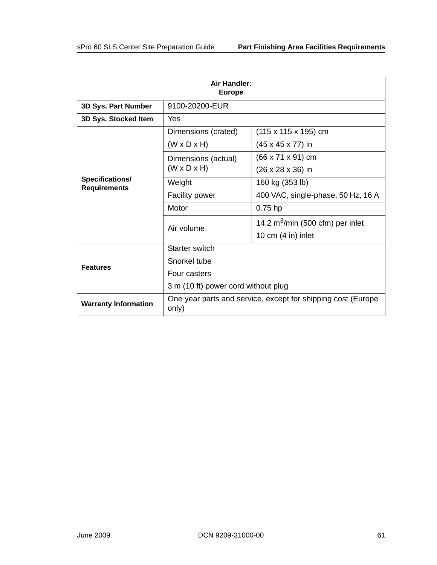| Air Handler:<br><b>Europe</b>          |                                                                       |                                     |  |  |
|----------------------------------------|-----------------------------------------------------------------------|-------------------------------------|--|--|
| 3D Sys. Part Number                    | 9100-20200-EUR                                                        |                                     |  |  |
| 3D Sys. Stocked Item                   | Yes                                                                   |                                     |  |  |
| Specifications/<br><b>Requirements</b> | Dimensions (crated)                                                   | (115 x 115 x 195) cm                |  |  |
|                                        | $(W \times D \times H)$                                               | (45 x 45 x 77) in                   |  |  |
|                                        | Dimensions (actual)<br>$(W \times D \times H)$                        | $(66 \times 71 \times 91)$ cm       |  |  |
|                                        |                                                                       | (26 x 28 x 36) in                   |  |  |
|                                        | Weight                                                                | 160 kg (353 lb)                     |  |  |
|                                        | <b>Facility power</b>                                                 | 400 VAC, single-phase, 50 Hz, 16 A  |  |  |
|                                        | Motor                                                                 | $0.75$ hp                           |  |  |
|                                        | Air volume                                                            | 14.2 $m^3$ /min (500 cfm) per inlet |  |  |
|                                        |                                                                       | 10 cm $(4 \text{ in})$ inlet        |  |  |
| <b>Features</b>                        | Starter switch                                                        |                                     |  |  |
|                                        | Snorkel tube                                                          |                                     |  |  |
|                                        | Four casters                                                          |                                     |  |  |
|                                        | 3 m (10 ft) power cord without plug                                   |                                     |  |  |
| <b>Warranty Information</b>            | One year parts and service, except for shipping cost (Europe<br>only) |                                     |  |  |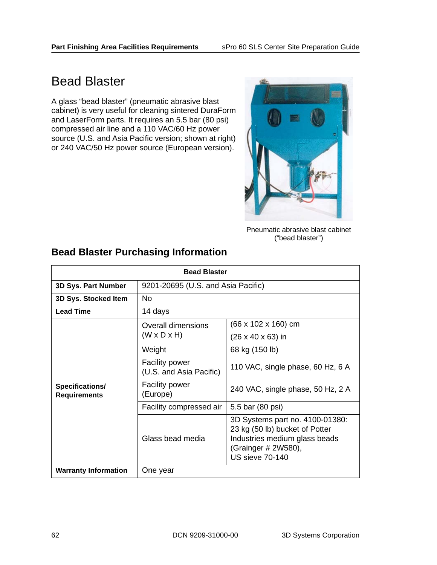### Bead Blaster

A glass "bead blaster" (pneumatic abrasive blast cabinet) is very useful for cleaning sintered DuraForm and LaserForm parts. It requires an 5.5 bar (80 psi) compressed air line and a 110 VAC/60 Hz power source (U.S. and Asia Pacific version; shown at right) or 240 VAC/50 Hz power source (European version).



Pneumatic abrasive blast cabinet ("bead blaster")

| <b>Bead Blaster</b>                    |                                                  |                                                                                                                                                     |  |  |
|----------------------------------------|--------------------------------------------------|-----------------------------------------------------------------------------------------------------------------------------------------------------|--|--|
| 3D Sys. Part Number                    | 9201-20695 (U.S. and Asia Pacific)               |                                                                                                                                                     |  |  |
| 3D Sys. Stocked Item                   | <b>No</b>                                        |                                                                                                                                                     |  |  |
| <b>Lead Time</b>                       | 14 days                                          |                                                                                                                                                     |  |  |
| Specifications/<br><b>Requirements</b> | Overall dimensions<br>$(W \times D \times H)$    | $(66 \times 102 \times 160)$ cm                                                                                                                     |  |  |
|                                        |                                                  | $(26 \times 40 \times 63)$ in                                                                                                                       |  |  |
|                                        | Weight                                           | 68 kg (150 lb)                                                                                                                                      |  |  |
|                                        | <b>Facility power</b><br>(U.S. and Asia Pacific) | 110 VAC, single phase, 60 Hz, 6 A                                                                                                                   |  |  |
|                                        | <b>Facility power</b><br>(Europe)                | 240 VAC, single phase, 50 Hz, 2 A                                                                                                                   |  |  |
|                                        | Facility compressed air                          | 5.5 bar (80 psi)                                                                                                                                    |  |  |
|                                        | Glass bead media                                 | 3D Systems part no. 4100-01380:<br>23 kg (50 lb) bucket of Potter<br>Industries medium glass beads<br>(Grainger # 2W580),<br><b>US sieve 70-140</b> |  |  |
| <b>Warranty Information</b>            | One year                                         |                                                                                                                                                     |  |  |

#### **Bead Blaster Purchasing Information**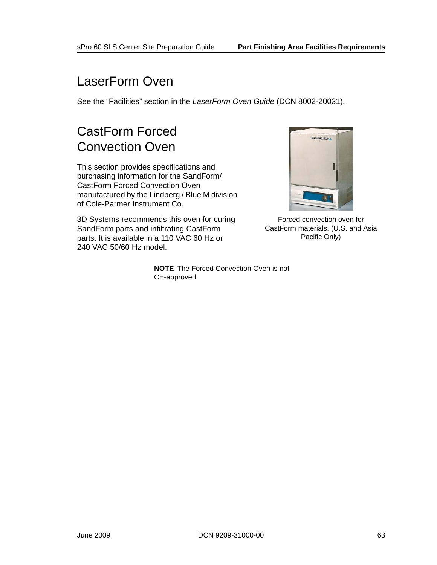### LaserForm Oven

See the "Facilities" section in the *LaserForm Oven Guide* (DCN 8002-20031).

### CastForm Forced Convection Oven

This section provides specifications and purchasing information for the SandForm/ CastForm Forced Convection Oven manufactured by the Lindberg / Blue M division of Cole-Parmer Instrument Co.



Forced convection oven for CastForm materials. (U.S. and Asia Pacific Only)

3D Systems recommends this oven for curing SandForm parts and infiltrating CastForm parts. It is available in a 110 VAC 60 Hz or 240 VAC 50/60 Hz model.

> **NOTE** The Forced Convection Oven is not CE-approved.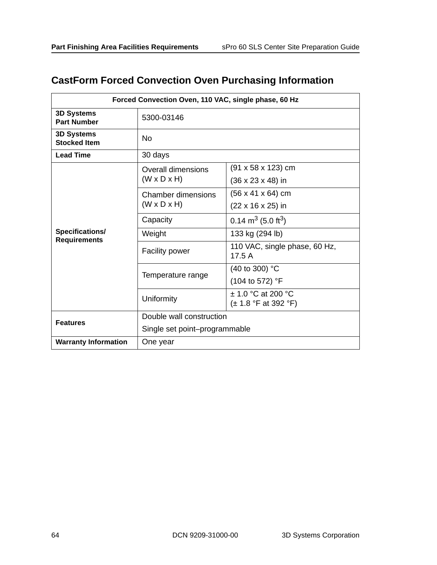| Forced Convection Oven, 110 VAC, single phase, 60 Hz |                                               |                                                                     |  |  |
|------------------------------------------------------|-----------------------------------------------|---------------------------------------------------------------------|--|--|
| <b>3D Systems</b><br><b>Part Number</b>              | 5300-03146                                    |                                                                     |  |  |
| 3D Systems<br><b>Stocked Item</b>                    | No                                            |                                                                     |  |  |
| <b>Lead Time</b>                                     | 30 days                                       |                                                                     |  |  |
| Specifications/<br><b>Requirements</b>               | Overall dimensions<br>$(W \times D \times H)$ | $(91 \times 58 \times 123)$ cm                                      |  |  |
|                                                      |                                               | $(36 \times 23 \times 48)$ in                                       |  |  |
|                                                      | Chamber dimensions<br>$(W \times D \times H)$ | $(56 \times 41 \times 64)$ cm                                       |  |  |
|                                                      |                                               | $(22 \times 16 \times 25)$ in                                       |  |  |
|                                                      | Capacity                                      | 0.14 m <sup>3</sup> (5.0 ft <sup>3</sup> )                          |  |  |
|                                                      | Weight                                        | 133 kg (294 lb)                                                     |  |  |
|                                                      | <b>Facility power</b>                         | 110 VAC, single phase, 60 Hz,<br>17.5 A                             |  |  |
|                                                      | Temperature range                             | (40 to 300) $^{\circ}$ C                                            |  |  |
|                                                      |                                               | (104 to 572) °F                                                     |  |  |
|                                                      | Uniformity                                    | $\pm$ 1.0 °C at 200 °C<br>$(\pm 1.8 \text{ °F at } 392 \text{ °F})$ |  |  |
| <b>Features</b>                                      | Double wall construction                      |                                                                     |  |  |
|                                                      | Single set point-programmable                 |                                                                     |  |  |
| <b>Warranty Information</b>                          | One year                                      |                                                                     |  |  |

### **CastForm Forced Convection Oven Purchasing Information**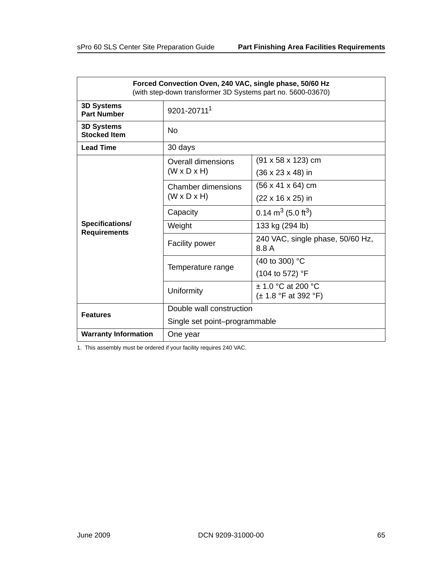| Forced Convection Oven, 240 VAC, single phase, 50/60 Hz<br>(with step-down transformer 3D Systems part no. 5600-03670) |                                                      |                                                                     |  |  |
|------------------------------------------------------------------------------------------------------------------------|------------------------------------------------------|---------------------------------------------------------------------|--|--|
| <b>3D Systems</b><br><b>Part Number</b>                                                                                | 9201-20711 <sup>1</sup>                              |                                                                     |  |  |
| 3D Systems<br><b>Stocked Item</b>                                                                                      | No                                                   |                                                                     |  |  |
| <b>Lead Time</b>                                                                                                       | 30 days                                              |                                                                     |  |  |
|                                                                                                                        | Overall dimensions<br>$(W \times D \times H)$        | $(91 \times 58 \times 123)$ cm                                      |  |  |
|                                                                                                                        |                                                      | $(36 \times 23 \times 48)$ in                                       |  |  |
|                                                                                                                        | <b>Chamber dimensions</b><br>$(W \times D \times H)$ | (56 x 41 x 64) cm                                                   |  |  |
|                                                                                                                        |                                                      | $(22 \times 16 \times 25)$ in                                       |  |  |
|                                                                                                                        | Capacity                                             | 0.14 m <sup>3</sup> (5.0 ft <sup>3</sup> )                          |  |  |
| Specifications/<br><b>Requirements</b>                                                                                 | Weight                                               | 133 kg (294 lb)                                                     |  |  |
|                                                                                                                        | <b>Facility power</b>                                | 240 VAC, single phase, 50/60 Hz,<br>8.8 A                           |  |  |
|                                                                                                                        | Temperature range                                    | (40 to 300) °C                                                      |  |  |
|                                                                                                                        |                                                      | (104 to 572) °F                                                     |  |  |
|                                                                                                                        | Uniformity                                           | $\pm$ 1.0 °C at 200 °C<br>$(\pm 1.8 \text{ °F at } 392 \text{ °F})$ |  |  |
| <b>Features</b>                                                                                                        | Double wall construction                             |                                                                     |  |  |
|                                                                                                                        | Single set point-programmable                        |                                                                     |  |  |
| <b>Warranty Information</b>                                                                                            | One year                                             |                                                                     |  |  |

1. This assembly must be ordered if your facility requires 240 VAC.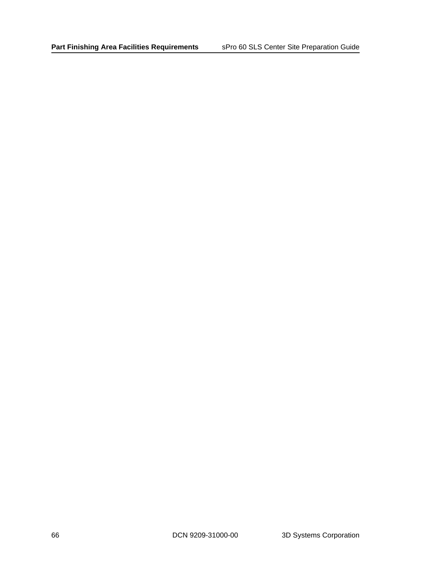66 DCN 9209-31000-00 3D Systems Corporation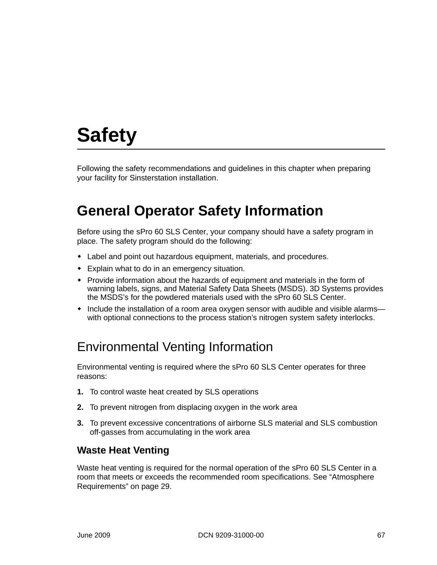# **Safety**

Following the safety recommendations and guidelines in this chapter when preparing your facility for Sinsterstation installation.

# **General Operator Safety Information**

Before using the sPro 60 SLS Center, your company should have a safety program in place. The safety program should do the following:

- Label and point out hazardous equipment, materials, and procedures.
- Explain what to do in an emergency situation.
- Provide information about the hazards of equipment and materials in the form of warning labels, signs, and Material Safety Data Sheets (MSDS). 3D Systems provides the MSDS's for the powdered materials used with the sPro 60 SLS Center.
- Include the installation of a room area oxygen sensor with audible and visible alarms with optional connections to the process station's nitrogen system safety interlocks.

### Environmental Venting Information

Environmental venting is required where the sPro 60 SLS Center operates for three reasons:

- **1.** To control waste heat created by SLS operations
- **2.** To prevent nitrogen from displacing oxygen in the work area
- **3.** To prevent excessive concentrations of airborne SLS material and SLS combustion off-gasses from accumulating in the work area

#### **Waste Heat Venting**

Waste heat venting is required for the normal operation of the sPro 60 SLS Center in a room that meets or exceeds the recommended room specifications. See ["Atmosphere](#page-32-0)  [Requirements" on page 29.](#page-32-0)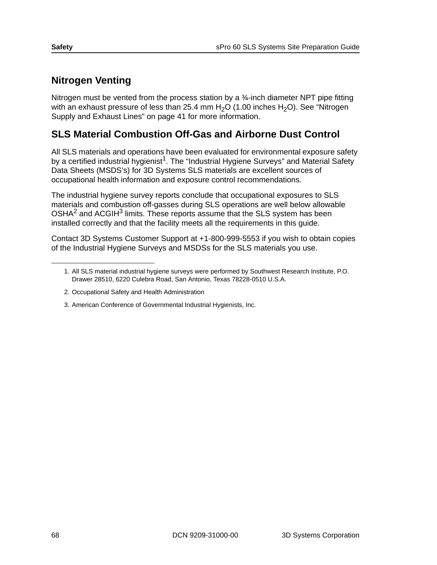### **Nitrogen Venting**

Nitrogen must be vented from the process station by a 3/4-inch diameter NPT pipe fitting with an exhaust pressure of less than 25.4 mm  $H_2O$  (1.00 inches  $H_2O$ ). See "Nitrogen [Supply and Exhaust Lines" on page 41](#page-44-0) for more information.

### **SLS Material Combustion Off-Gas and Airborne Dust Control**

All SLS materials and operations have been evaluated for environmental exposure safety by a certified industrial hygienist<sup>1</sup>. The "Industrial Hygiene Surveys" and Material Safety Data Sheets (MSDS's) for 3D Systems SLS materials are excellent sources of occupational health information and exposure control recommendations.

The industrial hygiene survey reports conclude that occupational exposures to SLS materials and combustion off-gasses during SLS operations are well below allowable OSHA<sup>2</sup> and ACGIH $3$  limits. These reports assume that the SLS system has been installed correctly and that the facility meets all the requirements in this guide.

Contact 3D Systems Customer Support at +1-800-999-5553 if you wish to obtain copies of the Industrial Hygiene Surveys and MSDSs for the SLS materials you use.

<sup>1.</sup> All SLS material industrial hygiene surveys were performed by Southwest Research Institute, P.O. Drawer 28510, 6220 Culebra Road, San Antonio, Texas 78228-0510 U.S.A.

<sup>2.</sup> Occupational Safety and Health Administration

<sup>3.</sup> American Conference of Governmental Industrial Hygienists, Inc.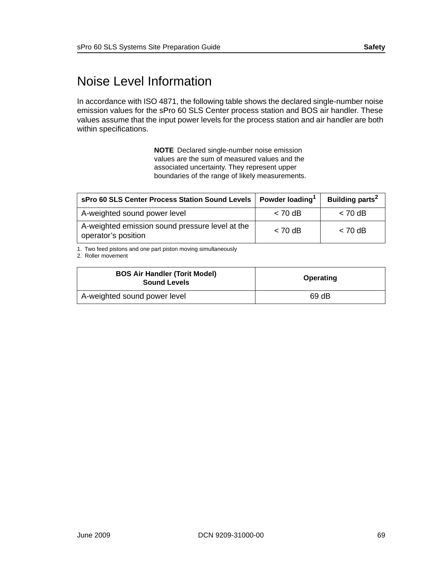## Noise Level Information

In accordance with ISO 4871, the following table shows the declared single-number noise emission values for the sPro 60 SLS Center process station and BOS air handler. These values assume that the input power levels for the process station and air handler are both within specifications.

> **NOTE** Declared single-number noise emission values are the sum of measured values and the associated uncertainty. They represent upper boundaries of the range of likely measurements.

| sPro 60 SLS Center Process Station Sound Levels                        | Powder loading <sup>1</sup> | Building parts <sup>2</sup> |
|------------------------------------------------------------------------|-----------------------------|-----------------------------|
| A-weighted sound power level                                           | $< 70$ dB                   | $< 70$ dB                   |
| A-weighted emission sound pressure level at the<br>operator's position | $< 70$ dB                   | $< 70$ dB                   |

1. Two feed pistons and one part piston moving simultaneously

2. Roller movement

| <b>BOS Air Handler (Torit Model)</b><br><b>Sound Levels</b> | Operating |
|-------------------------------------------------------------|-----------|
| A-weighted sound power level                                | 69 dB     |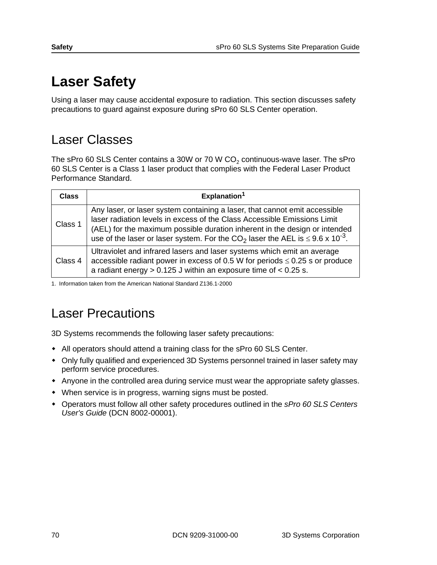# **Laser Safety**

Using a laser may cause accidental exposure to radiation. This section discusses safety precautions to guard against exposure during sPro 60 SLS Center operation.

# Laser Classes

The sPro 60 SLS Center contains a 30W or 70 W  $CO<sub>2</sub>$  continuous-wave laser. The sPro 60 SLS Center is a Class 1 laser product that complies with the Federal Laser Product Performance Standard.

| <b>Class</b> | Explanation <sup>1</sup>                                                                                                                                                                                                                                                                                                                           |
|--------------|----------------------------------------------------------------------------------------------------------------------------------------------------------------------------------------------------------------------------------------------------------------------------------------------------------------------------------------------------|
| Class 1      | Any laser, or laser system containing a laser, that cannot emit accessible<br>laser radiation levels in excess of the Class Accessible Emissions Limit<br>(AEL) for the maximum possible duration inherent in the design or intended<br>use of the laser or laser system. For the CO <sub>2</sub> laser the AEL is $\leq$ 9.6 x 10 <sup>-3</sup> . |
| Class 4      | Ultraviolet and infrared lasers and laser systems which emit an average<br>accessible radiant power in excess of 0.5 W for periods $\leq$ 0.25 s or produce<br>a radiant energy $> 0.125$ J within an exposure time of $< 0.25$ s.                                                                                                                 |

1. Information taken from the American National Standard Z136.1-2000

## Laser Precautions

3D Systems recommends the following laser safety precautions:

- All operators should attend a training class for the sPro 60 SLS Center.
- Only fully qualified and experienced 3D Systems personnel trained in laser safety may perform service procedures.
- Anyone in the controlled area during service must wear the appropriate safety glasses.
- When service is in progress, warning signs must be posted.
- Operators must follow all other safety procedures outlined in the *sPro 60 SLS Centers User's Guide* (DCN 8002-00001).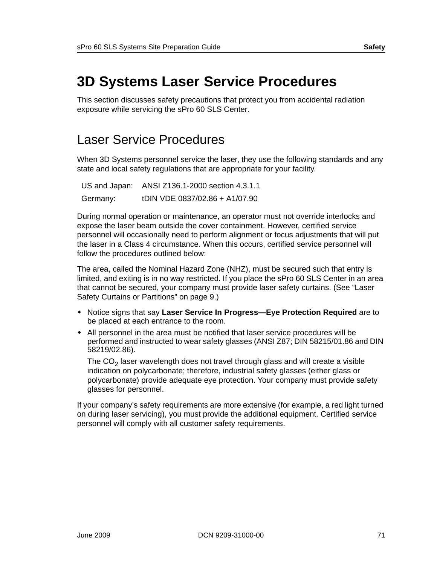## **3D Systems Laser Service Procedures**

This section discusses safety precautions that protect you from accidental radiation exposure while servicing the sPro 60 SLS Center.

### Laser Service Procedures

When 3D Systems personnel service the laser, they use the following standards and any state and local safety regulations that are appropriate for your facility.

US and Japan: ANSI Z136.1-2000 section 4.3.1.1 Germany: tDIN VDE 0837/02.86 + A1/07.90

During normal operation or maintenance, an operator must not override interlocks and expose the laser beam outside the cover containment. However, certified service personnel will occasionally need to perform alignment or focus adjustments that will put the laser in a Class 4 circumstance. When this occurs, certified service personnel will follow the procedures outlined below:

The area, called the Nominal Hazard Zone (NHZ), must be secured such that entry is limited, and exiting is in no way restricted. If you place the sPro 60 SLS Center in an area that cannot be secured, your company must provide laser safety curtains. (See ["Laser](#page-12-0)  [Safety Curtains or Partitions" on page 9](#page-12-0).)

- Notice signs that say **Laser Service In Progress—Eye Protection Required** are to be placed at each entrance to the room.
- All personnel in the area must be notified that laser service procedures will be performed and instructed to wear safety glasses (ANSI Z87; DIN 58215/01.86 and DIN 58219/02.86).

The  $CO<sub>2</sub>$  laser wavelength does not travel through glass and will create a visible indication on polycarbonate; therefore, industrial safety glasses (either glass or polycarbonate) provide adequate eye protection. Your company must provide safety glasses for personnel.

If your company's safety requirements are more extensive (for example, a red light turned on during laser servicing), you must provide the additional equipment. Certified service personnel will comply with all customer safety requirements.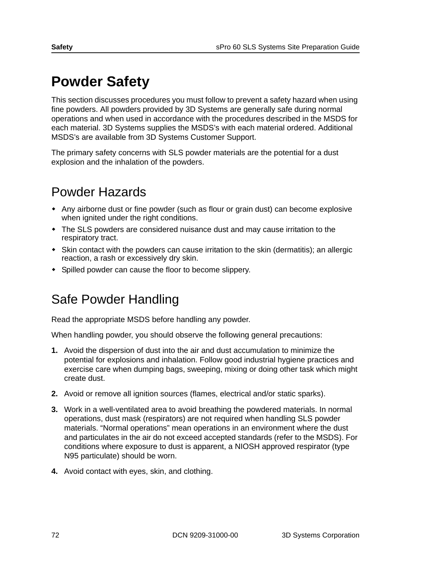# **Powder Safety**

This section discusses procedures you must follow to prevent a safety hazard when using fine powders. All powders provided by 3D Systems are generally safe during normal operations and when used in accordance with the procedures described in the MSDS for each material. 3D Systems supplies the MSDS's with each material ordered. Additional MSDS's are available from 3D Systems Customer Support.

The primary safety concerns with SLS powder materials are the potential for a dust explosion and the inhalation of the powders.

## Powder Hazards

- Any airborne dust or fine powder (such as flour or grain dust) can become explosive when ignited under the right conditions.
- The SLS powders are considered nuisance dust and may cause irritation to the respiratory tract.
- $\bullet$  Skin contact with the powders can cause irritation to the skin (dermatitis); an allergic reaction, a rash or excessively dry skin.
- Spilled powder can cause the floor to become slippery.

## Safe Powder Handling

Read the appropriate MSDS before handling any powder.

When handling powder, you should observe the following general precautions:

- **1.** Avoid the dispersion of dust into the air and dust accumulation to minimize the potential for explosions and inhalation. Follow good industrial hygiene practices and exercise care when dumping bags, sweeping, mixing or doing other task which might create dust.
- **2.** Avoid or remove all ignition sources (flames, electrical and/or static sparks).
- **3.** Work in a well-ventilated area to avoid breathing the powdered materials. In normal operations, dust mask (respirators) are not required when handling SLS powder materials. "Normal operations" mean operations in an environment where the dust and particulates in the air do not exceed accepted standards (refer to the MSDS). For conditions where exposure to dust is apparent, a NIOSH approved respirator (type N95 particulate) should be worn.
- **4.** Avoid contact with eyes, skin, and clothing.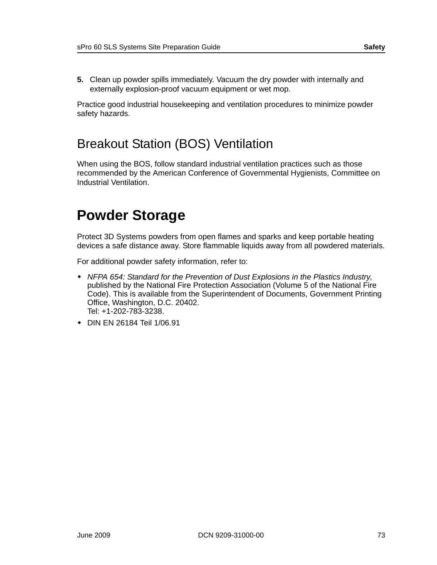**5.** Clean up powder spills immediately. Vacuum the dry powder with internally and externally explosion-proof vacuum equipment or wet mop.

Practice good industrial housekeeping and ventilation procedures to minimize powder safety hazards.

## Breakout Station (BOS) Ventilation

When using the BOS, follow standard industrial ventilation practices such as those recommended by the American Conference of Governmental Hygienists, Committee on Industrial Ventilation.

## **Powder Storage**

Protect 3D Systems powders from open flames and sparks and keep portable heating devices a safe distance away. Store flammable liquids away from all powdered materials.

For additional powder safety information, refer to:

- *NFPA 654: Standard for the Prevention of Dust Explosions in the Plastics Industry*, published by the National Fire Protection Association (Volume 5 of the National Fire Code). This is available from the Superintendent of Documents, Government Printing Office, Washington, D.C. 20402. Tel: +1-202-783-3238.
- DIN EN 26184 Teil 1/06.91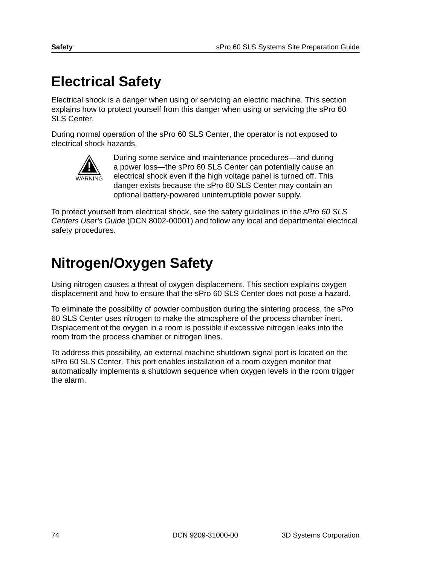# **Electrical Safety**

Electrical shock is a danger when using or servicing an electric machine. This section explains how to protect yourself from this danger when using or servicing the sPro 60 SLS Center.

During normal operation of the sPro 60 SLS Center, the operator is not exposed to electrical shock hazards.



During some service and maintenance procedures—and during a power loss—the sPro 60 SLS Center can potentially cause an electrical shock even if the high voltage panel is turned off. This danger exists because the sPro 60 SLS Center may contain an optional battery-powered uninterruptible power supply.

To protect yourself from electrical shock, see the safety guidelines in the *sPro 60 SLS Centers User's Guide* (DCN 8002-00001) and follow any local and departmental electrical safety procedures.

# **Nitrogen/Oxygen Safety**

Using nitrogen causes a threat of oxygen displacement. This section explains oxygen displacement and how to ensure that the sPro 60 SLS Center does not pose a hazard.

To eliminate the possibility of powder combustion during the sintering process, the sPro 60 SLS Center uses nitrogen to make the atmosphere of the process chamber inert. Displacement of the oxygen in a room is possible if excessive nitrogen leaks into the room from the process chamber or nitrogen lines.

To address this possibility, an external machine shutdown signal port is located on the sPro 60 SLS Center. This port enables installation of a room oxygen monitor that automatically implements a shutdown sequence when oxygen levels in the room trigger the alarm.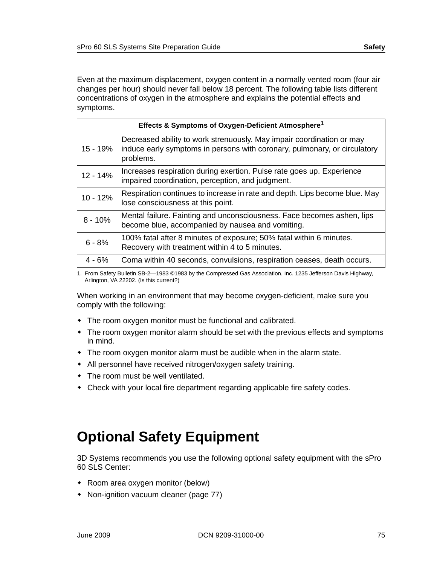Even at the maximum displacement, oxygen content in a normally vented room (four air changes per hour) should never fall below 18 percent. The following table lists different concentrations of oxygen in the atmosphere and explains the potential effects and symptoms.

| Effects & Symptoms of Oxygen-Deficient Atmosphere <sup>1</sup> |                                                                                                                                                                 |  |
|----------------------------------------------------------------|-----------------------------------------------------------------------------------------------------------------------------------------------------------------|--|
| 15 - 19%                                                       | Decreased ability to work strenuously. May impair coordination or may<br>induce early symptoms in persons with coronary, pulmonary, or circulatory<br>problems. |  |
| $12 - 14%$                                                     | Increases respiration during exertion. Pulse rate goes up. Experience<br>impaired coordination, perception, and judgment.                                       |  |
| $10 - 12%$                                                     | Respiration continues to increase in rate and depth. Lips become blue. May<br>lose consciousness at this point.                                                 |  |
| $8 - 10%$                                                      | Mental failure. Fainting and unconsciousness. Face becomes ashen, lips<br>become blue, accompanied by nausea and vomiting.                                      |  |
| $6 - 8%$                                                       | 100% fatal after 8 minutes of exposure; 50% fatal within 6 minutes.<br>Recovery with treatment within 4 to 5 minutes.                                           |  |
| $4 - 6%$                                                       | Coma within 40 seconds, convulsions, respiration ceases, death occurs.                                                                                          |  |

1. From Safety Bulletin SB-2—1983 ©1983 by the Compressed Gas Association, Inc. 1235 Jefferson Davis Highway, Arlington, VA 22202. (Is this current?)

When working in an environment that may become oxygen-deficient, make sure you comply with the following:

- The room oxygen monitor must be functional and calibrated.
- The room oxygen monitor alarm should be set with the previous effects and symptoms in mind.
- The room oxygen monitor alarm must be audible when in the alarm state.
- All personnel have received nitrogen/oxygen safety training.
- The room must be well ventilated.
- Check with your local fire department regarding applicable fire safety codes.

## **Optional Safety Equipment**

3D Systems recommends you use the following optional safety equipment with the sPro 60 SLS Center:

- [R](#page-79-0)oom area oxygen monitor (below)
- Non-ignition vacuum cleaner [\(page 77\)](#page-80-0)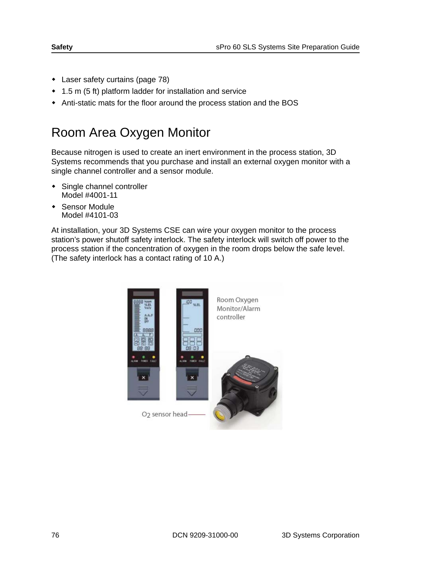- Laser safety curtains [\(page 78\)](#page-81-0)
- 1.5 m (5 ft) platform ladder for installation and service
- Anti-static mats for the floor around the process station and the BOS

## <span id="page-79-0"></span>[Room Area Oxygen Monitor](#page-79-0)

Because nitrogen is used to create an inert environment in the process station, 3D Systems recommends that you purchase and install an external oxygen monitor with a single channel controller and a sensor module.

- Single channel controller Model #4001-11
- **\*** Sensor Module Model #4101-03

At installation, your 3D Systems CSE can wire your oxygen monitor to the process station's power shutoff safety interlock. The safety interlock will switch off power to the process station if the concentration of oxygen in the room drops below the safe level. (The safety interlock has a contact rating of 10 A.)

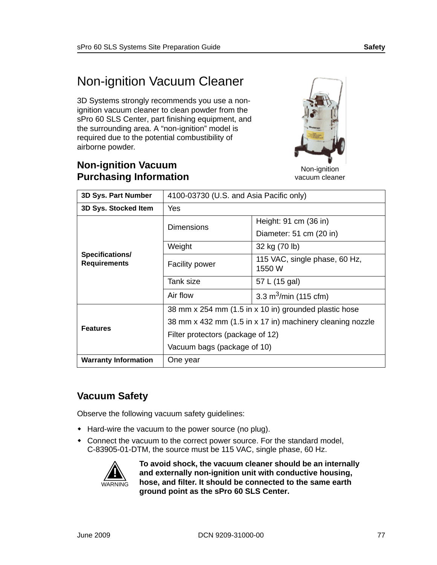<span id="page-80-0"></span>3D Systems strongly recommends you use a nonignition vacuum cleaner to clean powder from the sPro 60 SLS Center, part finishing equipment, and the surrounding area. A "non-ignition" model is required due to the potential combustibility of airborne powder.

#### **Non-ignition Vacuum Purchasing Information**



| 3D Sys. Part Number                    | 4100-03730 (U.S. and Asia Pacific only)                   |                                         |  |
|----------------------------------------|-----------------------------------------------------------|-----------------------------------------|--|
| 3D Sys. Stocked Item                   | Yes                                                       |                                         |  |
|                                        | <b>Dimensions</b>                                         | Height: 91 cm (36 in)                   |  |
|                                        |                                                           | Diameter: 51 cm (20 in)                 |  |
|                                        | Weight                                                    | 32 kg (70 lb)                           |  |
| Specifications/<br><b>Requirements</b> | <b>Facility power</b>                                     | 115 VAC, single phase, 60 Hz,<br>1550 W |  |
|                                        | Tank size                                                 | 57 L (15 gal)                           |  |
|                                        | Air flow                                                  | 3.3 m <sup>3</sup> /min (115 cfm)       |  |
|                                        | 38 mm x 254 mm (1.5 in x 10 in) grounded plastic hose     |                                         |  |
| <b>Features</b>                        | 38 mm x 432 mm (1.5 in x 17 in) machinery cleaning nozzle |                                         |  |
|                                        | Filter protectors (package of 12)                         |                                         |  |
|                                        | Vacuum bags (package of 10)                               |                                         |  |
|                                        |                                                           |                                         |  |

#### **Vacuum Safety**

Observe the following vacuum safety guidelines:

**Warranty Information** | One year

- Hard-wire the vacuum to the power source (no plug).
- Connect the vacuum to the correct power source. For the standard model, C-83905-01-DTM, the source must be 115 VAC, single phase, 60 Hz.



**To avoid shock, the vacuum cleaner should be an internally and externally non-ignition unit with conductive housing, hose, and filter. It should be connected to the same earth ground point as the sPro 60 SLS Center.**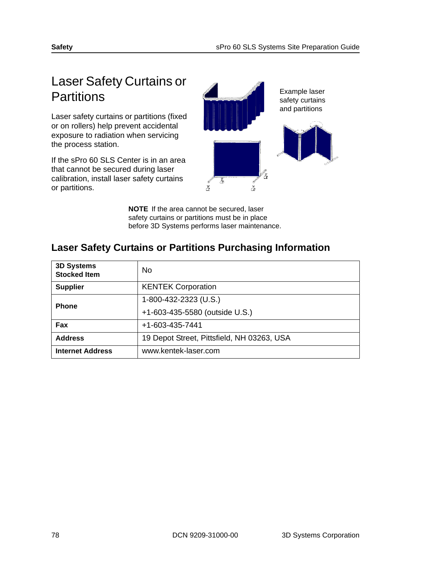## <span id="page-81-0"></span>Laser Safety Curtains or **Partitions**

Laser safety curtains or partitions (fixed or on rollers) help prevent accidental exposure to radiation when servicing the process station.

If the sPro 60 SLS Center is in an area that cannot be secured during laser calibration, install laser safety curtains or partitions.



**NOTE** If the area cannot be secured, laser safety curtains or partitions must be in place before 3D Systems performs laser maintenance.

#### **Laser Safety Curtains or Partitions Purchasing Information**

| <b>3D Systems</b><br><b>Stocked Item</b> | No.                                        |  |
|------------------------------------------|--------------------------------------------|--|
| <b>Supplier</b>                          | <b>KENTEK Corporation</b>                  |  |
| <b>Phone</b>                             | 1-800-432-2323 (U.S.)                      |  |
|                                          | +1-603-435-5580 (outside U.S.)             |  |
| <b>Fax</b>                               | +1-603-435-7441                            |  |
| <b>Address</b>                           | 19 Depot Street, Pittsfield, NH 03263, USA |  |
| <b>Internet Address</b>                  | www.kentek-laser.com                       |  |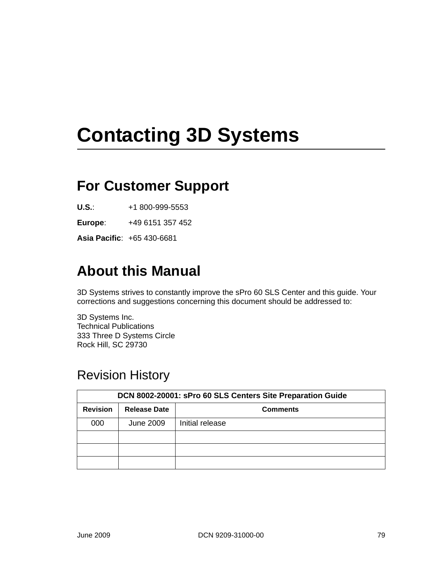# **Contacting 3D Systems**

# **For Customer Support**

**U.S.**: +1 800-999-5553

**Europe:** +49 6151 357 452

**Asia Pacific**: +65 430-6681

# **About this Manual**

3D Systems strives to constantly improve the sPro 60 SLS Center and this guide. Your corrections and suggestions concerning this document should be addressed to:

3D Systems Inc. Technical Publications 333 Three D Systems Circle Rock Hill, SC 29730

### Revision History

| DCN 8002-20001: sPro 60 SLS Centers Site Preparation Guide |                     |                 |  |
|------------------------------------------------------------|---------------------|-----------------|--|
| <b>Revision</b>                                            | <b>Release Date</b> | <b>Comments</b> |  |
| 000                                                        | June 2009           | Initial release |  |
|                                                            |                     |                 |  |
|                                                            |                     |                 |  |
|                                                            |                     |                 |  |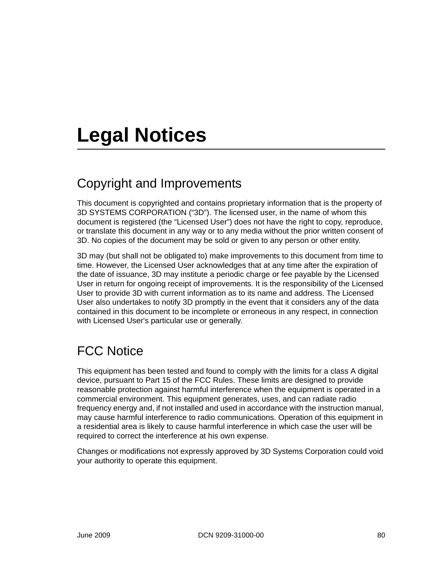# **Legal Notices**

## Copyright and Improvements

This document is copyrighted and contains proprietary information that is the property of 3D SYSTEMS CORPORATION ("3D"). The licensed user, in the name of whom this document is registered (the "Licensed User") does not have the right to copy, reproduce, or translate this document in any way or to any media without the prior written consent of 3D. No copies of the document may be sold or given to any person or other entity.

3D may (but shall not be obligated to) make improvements to this document from time to time. However, the Licensed User acknowledges that at any time after the expiration of the date of issuance, 3D may institute a periodic charge or fee payable by the Licensed User in return for ongoing receipt of improvements. It is the responsibility of the Licensed User to provide 3D with current information as to its name and address. The Licensed User also undertakes to notify 3D promptly in the event that it considers any of the data contained in this document to be incomplete or erroneous in any respect, in connection with Licensed User's particular use or generally.

## FCC Notice

This equipment has been tested and found to comply with the limits for a class A digital device, pursuant to Part 15 of the FCC Rules. These limits are designed to provide reasonable protection against harmful interference when the equipment is operated in a commercial environment. This equipment generates, uses, and can radiate radio frequency energy and, if not installed and used in accordance with the instruction manual, may cause harmful interference to radio communications. Operation of this equipment in a residential area is likely to cause harmful interference in which case the user will be required to correct the interference at his own expense.

Changes or modifications not expressly approved by 3D Systems Corporation could void your authority to operate this equipment.